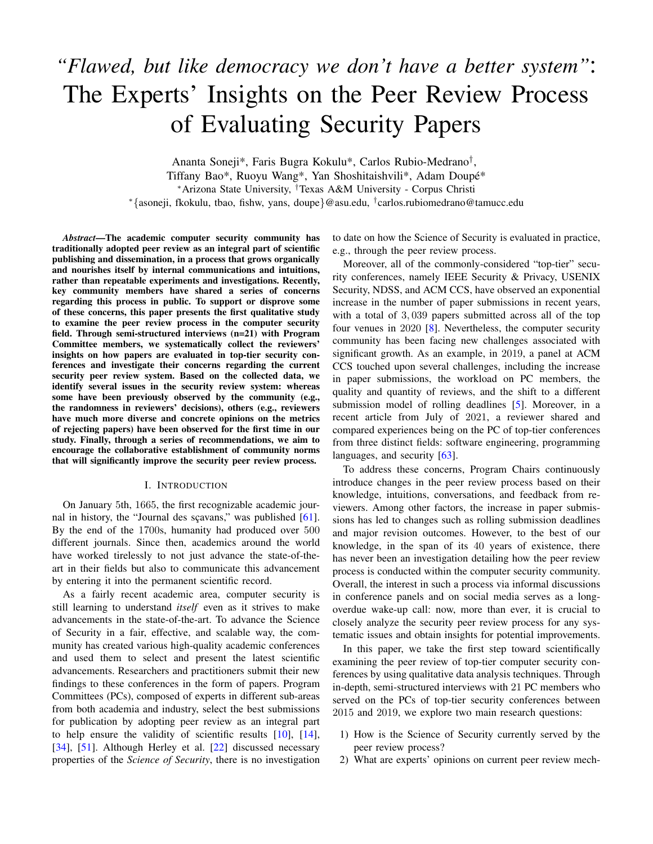# *"Flawed, but like democracy we don't have a better system"*: The Experts' Insights on the Peer Review Process of Evaluating Security Papers

Ananta Soneji\*, Faris Bugra Kokulu\*, Carlos Rubio-Medrano† , Tiffany Bao\*, Ruoyu Wang\*, Yan Shoshitaishvili\*, Adam Doupe\*´ <sup>∗</sup>Arizona State University, †Texas A&M University - Corpus Christi <sup>∗</sup>{asoneji, fkokulu, tbao, fishw, yans, doupe}@asu.edu, † carlos.rubiomedrano@tamucc.edu

*Abstract*—The academic computer security community has traditionally adopted peer review as an integral part of scientific publishing and dissemination, in a process that grows organically and nourishes itself by internal communications and intuitions, rather than repeatable experiments and investigations. Recently, key community members have shared a series of concerns regarding this process in public. To support or disprove some of these concerns, this paper presents the first qualitative study to examine the peer review process in the computer security field. Through semi-structured interviews (n=21) with Program Committee members, we systematically collect the reviewers' insights on how papers are evaluated in top-tier security conferences and investigate their concerns regarding the current security peer review system. Based on the collected data, we identify several issues in the security review system: whereas some have been previously observed by the community (e.g., the randomness in reviewers' decisions), others (e.g., reviewers have much more diverse and concrete opinions on the metrics of rejecting papers) have been observed for the first time in our study. Finally, through a series of recommendations, we aim to encourage the collaborative establishment of community norms that will significantly improve the security peer review process.

#### I. INTRODUCTION

On January 5th, 1665, the first recognizable academic jour-nal in history, the "Journal des sçavans," was published [\[61\]](#page-14-0). By the end of the 1700s, humanity had produced over 500 different journals. Since then, academics around the world have worked tirelessly to not just advance the state-of-theart in their fields but also to communicate this advancement by entering it into the permanent scientific record.

As a fairly recent academic area, computer security is still learning to understand *itself* even as it strives to make advancements in the state-of-the-art. To advance the Science of Security in a fair, effective, and scalable way, the community has created various high-quality academic conferences and used them to select and present the latest scientific advancements. Researchers and practitioners submit their new findings to these conferences in the form of papers. Program Committees (PCs), composed of experts in different sub-areas from both academia and industry, select the best submissions for publication by adopting peer review as an integral part to help ensure the validity of scientific results [\[10\]](#page-13-0), [\[14\]](#page-13-1), [\[34\]](#page-13-2), [\[51\]](#page-14-1). Although Herley et al. [\[22\]](#page-13-3) discussed necessary properties of the *Science of Security*, there is no investigation to date on how the Science of Security is evaluated in practice, e.g., through the peer review process.

Moreover, all of the commonly-considered "top-tier" security conferences, namely IEEE Security & Privacy, USENIX Security, NDSS, and ACM CCS, have observed an exponential increase in the number of paper submissions in recent years, with a total of 3,039 papers submitted across all of the top four venues in 2020 [\[8\]](#page-13-4). Nevertheless, the computer security community has been facing new challenges associated with significant growth. As an example, in 2019, a panel at ACM CCS touched upon several challenges, including the increase in paper submissions, the workload on PC members, the quality and quantity of reviews, and the shift to a different submission model of rolling deadlines [\[5\]](#page-13-5). Moreover, in a recent article from July of 2021, a reviewer shared and compared experiences being on the PC of top-tier conferences from three distinct fields: software engineering, programming languages, and security [\[63\]](#page-14-2).

To address these concerns, Program Chairs continuously introduce changes in the peer review process based on their knowledge, intuitions, conversations, and feedback from reviewers. Among other factors, the increase in paper submissions has led to changes such as rolling submission deadlines and major revision outcomes. However, to the best of our knowledge, in the span of its 40 years of existence, there has never been an investigation detailing how the peer review process is conducted within the computer security community. Overall, the interest in such a process via informal discussions in conference panels and on social media serves as a longoverdue wake-up call: now, more than ever, it is crucial to closely analyze the security peer review process for any systematic issues and obtain insights for potential improvements.

In this paper, we take the first step toward scientifically examining the peer review of top-tier computer security conferences by using qualitative data analysis techniques. Through in-depth, semi-structured interviews with 21 PC members who served on the PCs of top-tier security conferences between 2015 and 2019, we explore two main research questions:

- 1) How is the Science of Security currently served by the peer review process?
- 2) What are experts' opinions on current peer review mech-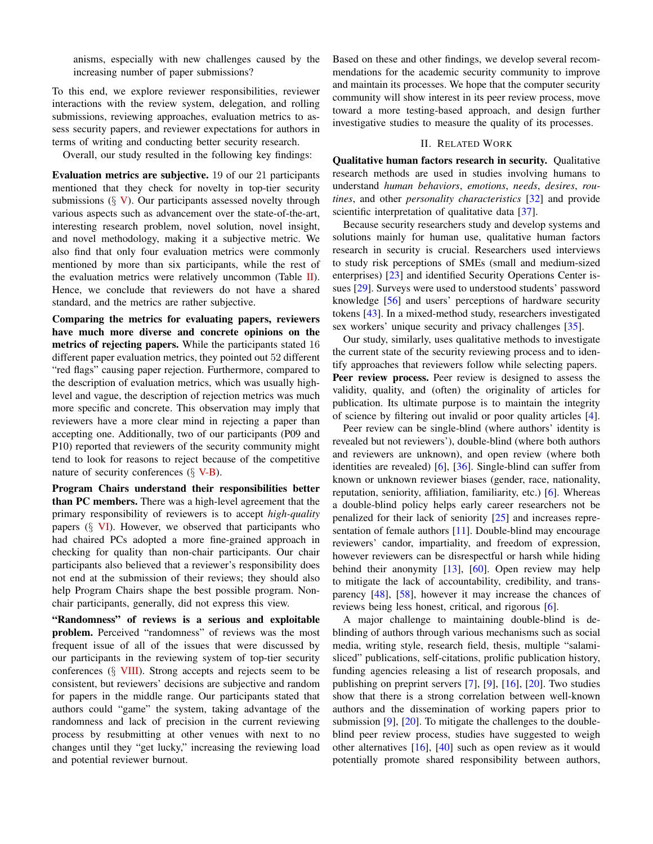anisms, especially with new challenges caused by the increasing number of paper submissions?

To this end, we explore reviewer responsibilities, reviewer interactions with the review system, delegation, and rolling submissions, reviewing approaches, evaluation metrics to assess security papers, and reviewer expectations for authors in terms of writing and conducting better security research.

Overall, our study resulted in the following key findings:

Evaluation metrics are subjective. 19 of our 21 participants mentioned that they check for novelty in top-tier security submissions  $(\S \ V)$  $(\S \ V)$ . Our participants assessed novelty through various aspects such as advancement over the state-of-the-art, interesting research problem, novel solution, novel insight, and novel methodology, making it a subjective metric. We also find that only four evaluation metrics were commonly mentioned by more than six participants, while the rest of the evaluation metrics were relatively uncommon (Table  $II$ ). Hence, we conclude that reviewers do not have a shared standard, and the metrics are rather subjective.

Comparing the metrics for evaluating papers, reviewers have much more diverse and concrete opinions on the metrics of rejecting papers. While the participants stated 16 different paper evaluation metrics, they pointed out 52 different "red flags" causing paper rejection. Furthermore, compared to the description of evaluation metrics, which was usually highlevel and vague, the description of rejection metrics was much more specific and concrete. This observation may imply that reviewers have a more clear mind in rejecting a paper than accepting one. Additionally, two of our participants (P09 and P10) reported that reviewers of the security community might tend to look for reasons to reject because of the competitive nature of security conferences  $(\S \text{ V-B})$ .

Program Chairs understand their responsibilities better than PC members. There was a high-level agreement that the primary responsibility of reviewers is to accept *high-quality* papers  $(\S$  [VI\)](#page-6-0). However, we observed that participants who had chaired PCs adopted a more fine-grained approach in checking for quality than non-chair participants. Our chair participants also believed that a reviewer's responsibility does not end at the submission of their reviews; they should also help Program Chairs shape the best possible program. Nonchair participants, generally, did not express this view.

"Randomness" of reviews is a serious and exploitable problem. Perceived "randomness" of reviews was the most frequent issue of all of the issues that were discussed by our participants in the reviewing system of top-tier security conferences (§ [VIII\)](#page-7-0). Strong accepts and rejects seem to be consistent, but reviewers' decisions are subjective and random for papers in the middle range. Our participants stated that authors could "game" the system, taking advantage of the randomness and lack of precision in the current reviewing process by resubmitting at other venues with next to no changes until they "get lucky," increasing the reviewing load and potential reviewer burnout.

Based on these and other findings, we develop several recommendations for the academic security community to improve and maintain its processes. We hope that the computer security community will show interest in its peer review process, move toward a more testing-based approach, and design further investigative studies to measure the quality of its processes.

# II. RELATED WORK

Qualitative human factors research in security. Qualitative research methods are used in studies involving humans to understand *human behaviors*, *emotions*, *needs*, *desires*, *routines*, and other *personality characteristics* [\[32\]](#page-13-6) and provide scientific interpretation of qualitative data [\[37\]](#page-13-7).

Because security researchers study and develop systems and solutions mainly for human use, qualitative human factors research in security is crucial. Researchers used interviews to study risk perceptions of SMEs (small and medium-sized enterprises) [\[23\]](#page-13-8) and identified Security Operations Center issues [\[29\]](#page-13-9). Surveys were used to understood students' password knowledge [\[56\]](#page-14-3) and users' perceptions of hardware security tokens [\[43\]](#page-14-4). In a mixed-method study, researchers investigated sex workers' unique security and privacy challenges [\[35\]](#page-13-10).

Our study, similarly, uses qualitative methods to investigate the current state of the security reviewing process and to identify approaches that reviewers follow while selecting papers. Peer review process. Peer review is designed to assess the validity, quality, and (often) the originality of articles for publication. Its ultimate purpose is to maintain the integrity of science by filtering out invalid or poor quality articles [\[4\]](#page-13-11).

Peer review can be single-blind (where authors' identity is revealed but not reviewers'), double-blind (where both authors and reviewers are unknown), and open review (where both identities are revealed) [\[6\]](#page-13-12), [\[36\]](#page-13-13). Single-blind can suffer from known or unknown reviewer biases (gender, race, nationality, reputation, seniority, affiliation, familiarity, etc.) [\[6\]](#page-13-12). Whereas a double-blind policy helps early career researchers not be penalized for their lack of seniority [\[25\]](#page-13-14) and increases representation of female authors [\[11\]](#page-13-15). Double-blind may encourage reviewers' candor, impartiality, and freedom of expression, however reviewers can be disrespectful or harsh while hiding behind their anonymity [\[13\]](#page-13-16), [\[60\]](#page-14-5). Open review may help to mitigate the lack of accountability, credibility, and transparency [\[48\]](#page-14-6), [\[58\]](#page-14-7), however it may increase the chances of reviews being less honest, critical, and rigorous [\[6\]](#page-13-12).

A major challenge to maintaining double-blind is deblinding of authors through various mechanisms such as social media, writing style, research field, thesis, multiple "salamisliced" publications, self-citations, prolific publication history, funding agencies releasing a list of research proposals, and publishing on preprint servers [\[7\]](#page-13-17), [\[9\]](#page-13-18), [\[16\]](#page-13-19), [\[20\]](#page-13-20). Two studies show that there is a strong correlation between well-known authors and the dissemination of working papers prior to submission  $[9]$ ,  $[20]$ . To mitigate the challenges to the doubleblind peer review process, studies have suggested to weigh other alternatives  $[16]$ ,  $[40]$  such as open review as it would potentially promote shared responsibility between authors,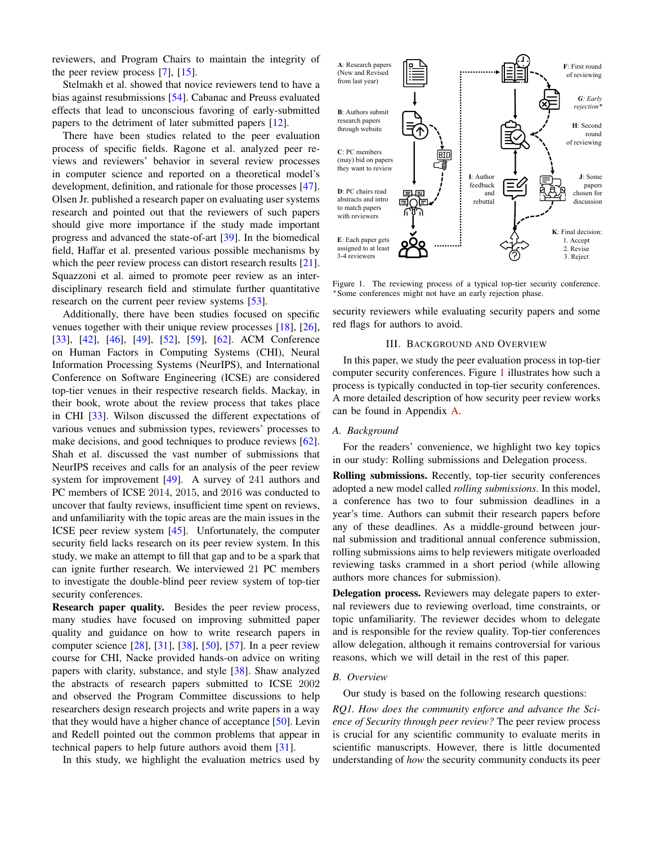reviewers, and Program Chairs to maintain the integrity of the peer review process [\[7\]](#page-13-17), [\[15\]](#page-13-21).

Stelmakh et al. showed that novice reviewers tend to have a bias against resubmissions [\[54\]](#page-14-9). Cabanac and Preuss evaluated effects that lead to unconscious favoring of early-submitted papers to the detriment of later submitted papers [\[12\]](#page-13-22).

There have been studies related to the peer evaluation process of specific fields. Ragone et al. analyzed peer reviews and reviewers' behavior in several review processes in computer science and reported on a theoretical model's development, definition, and rationale for those processes [\[47\]](#page-14-10). Olsen Jr. published a research paper on evaluating user systems research and pointed out that the reviewers of such papers should give more importance if the study made important progress and advanced the state-of-art [\[39\]](#page-14-11). In the biomedical field, Haffar et al. presented various possible mechanisms by which the peer review process can distort research results [\[21\]](#page-13-23). Squazzoni et al. aimed to promote peer review as an interdisciplinary research field and stimulate further quantitative research on the current peer review systems [\[53\]](#page-14-12).

Additionally, there have been studies focused on specific venues together with their unique review processes [\[18\]](#page-13-24), [\[26\]](#page-13-25), [\[33\]](#page-13-26), [\[42\]](#page-14-13), [\[46\]](#page-14-14), [\[49\]](#page-14-15), [\[52\]](#page-14-16), [\[59\]](#page-14-17), [\[62\]](#page-14-18). ACM Conference on Human Factors in Computing Systems (CHI), Neural Information Processing Systems (NeurIPS), and International Conference on Software Engineering (ICSE) are considered top-tier venues in their respective research fields. Mackay, in their book, wrote about the review process that takes place in CHI [\[33\]](#page-13-26). Wilson discussed the different expectations of various venues and submission types, reviewers' processes to make decisions, and good techniques to produce reviews [\[62\]](#page-14-18). Shah et al. discussed the vast number of submissions that NeurIPS receives and calls for an analysis of the peer review system for improvement [\[49\]](#page-14-15). A survey of 241 authors and PC members of ICSE 2014, 2015, and 2016 was conducted to uncover that faulty reviews, insufficient time spent on reviews, and unfamiliarity with the topic areas are the main issues in the ICSE peer review system [\[45\]](#page-14-19). Unfortunately, the computer security field lacks research on its peer review system. In this study, we make an attempt to fill that gap and to be a spark that can ignite further research. We interviewed 21 PC members to investigate the double-blind peer review system of top-tier security conferences.

Research paper quality. Besides the peer review process, many studies have focused on improving submitted paper quality and guidance on how to write research papers in computer science [\[28\]](#page-13-27), [\[31\]](#page-13-28), [\[38\]](#page-14-20), [\[50\]](#page-14-21), [\[57\]](#page-14-22). In a peer review course for CHI, Nacke provided hands-on advice on writing papers with clarity, substance, and style [\[38\]](#page-14-20). Shaw analyzed the abstracts of research papers submitted to ICSE 2002 and observed the Program Committee discussions to help researchers design research projects and write papers in a way that they would have a higher chance of acceptance [\[50\]](#page-14-21). Levin and Redell pointed out the common problems that appear in technical papers to help future authors avoid them [\[31\]](#page-13-28).

In this study, we highlight the evaluation metrics used by



<span id="page-2-0"></span>Figure 1. The reviewing process of a typical top-tier security conference. <sup>∗</sup>Some conferences might not have an early rejection phase.

security reviewers while evaluating security papers and some red flags for authors to avoid.

#### III. BACKGROUND AND OVERVIEW

In this paper, we study the peer evaluation process in top-tier computer security conferences. Figure [1](#page-2-0) illustrates how such a process is typically conducted in top-tier security conferences. A more detailed description of how security peer review works can be found in Appendix [A.](#page-15-0)

#### *A. Background*

For the readers' convenience, we highlight two key topics in our study: Rolling submissions and Delegation process.

Rolling submissions. Recently, top-tier security conferences adopted a new model called *rolling submissions*. In this model, a conference has two to four submission deadlines in a year's time. Authors can submit their research papers before any of these deadlines. As a middle-ground between journal submission and traditional annual conference submission, rolling submissions aims to help reviewers mitigate overloaded reviewing tasks crammed in a short period (while allowing authors more chances for submission).

Delegation process. Reviewers may delegate papers to external reviewers due to reviewing overload, time constraints, or topic unfamiliarity. The reviewer decides whom to delegate and is responsible for the review quality. Top-tier conferences allow delegation, although it remains controversial for various reasons, which we will detail in the rest of this paper.

#### *B. Overview*

Our study is based on the following research questions: *RQ1. How does the community enforce and advance the Science of Security through peer review?* The peer review process is crucial for any scientific community to evaluate merits in scientific manuscripts. However, there is little documented understanding of *how* the security community conducts its peer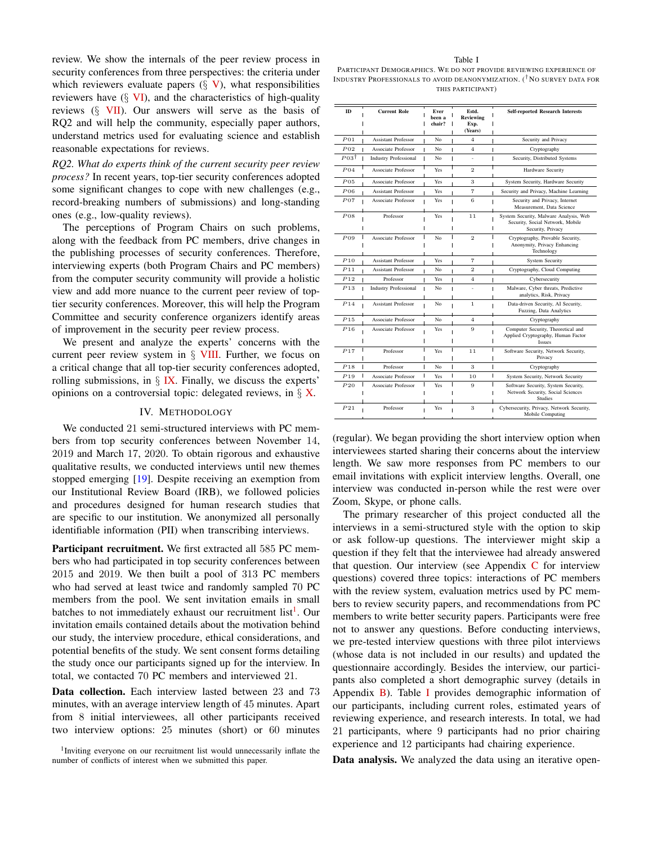review. We show the internals of the peer review process in security conferences from three perspectives: the criteria under which reviewers evaluate papers  $(\S \ V)$  $(\S \ V)$ , what responsibilities reviewers have  $(\S$  [VI\)](#page-6-0), and the characteristics of high-quality reviews  $(\S$  [VII\)](#page-7-1). Our answers will serve as the basis of RQ2 and will help the community, especially paper authors, understand metrics used for evaluating science and establish reasonable expectations for reviews.

*RQ2. What do experts think of the current security peer review process?* In recent years, top-tier security conferences adopted some significant changes to cope with new challenges (e.g., record-breaking numbers of submissions) and long-standing ones (e.g., low-quality reviews).

The perceptions of Program Chairs on such problems, along with the feedback from PC members, drive changes in the publishing processes of security conferences. Therefore, interviewing experts (both Program Chairs and PC members) from the computer security community will provide a holistic view and add more nuance to the current peer review of toptier security conferences. Moreover, this will help the Program Committee and security conference organizers identify areas of improvement in the security peer review process.

We present and analyze the experts' concerns with the current peer review system in § [VIII.](#page-7-0) Further, we focus on a critical change that all top-tier security conferences adopted, rolling submissions, in  $\S$  [IX.](#page-9-0) Finally, we discuss the experts' opinions on a controversial topic: delegated reviews, in  $\S$  [X.](#page-10-0)

#### IV. METHODOLOGY

We conducted 21 semi-structured interviews with PC members from top security conferences between November 14, 2019 and March 17, 2020. To obtain rigorous and exhaustive qualitative results, we conducted interviews until new themes stopped emerging [\[19\]](#page-13-29). Despite receiving an exemption from our Institutional Review Board (IRB), we followed policies and procedures designed for human research studies that are specific to our institution. We anonymized all personally identifiable information (PII) when transcribing interviews.

Participant recruitment. We first extracted all 585 PC members who had participated in top security conferences between 2015 and 2019. We then built a pool of 313 PC members who had served at least twice and randomly sampled 70 PC members from the pool. We sent invitation emails in small batches to not immediately exhaust our recruitment list<sup>[1](#page-3-0)</sup>. Our invitation emails contained details about the motivation behind our study, the interview procedure, ethical considerations, and potential benefits of the study. We sent consent forms detailing the study once our participants signed up for the interview. In total, we contacted 70 PC members and interviewed 21.

Data collection. Each interview lasted between 23 and 73 minutes, with an average interview length of 45 minutes. Apart from 8 initial interviewees, all other participants received two interview options: 25 minutes (short) or 60 minutes

<span id="page-3-0"></span><sup>1</sup>Inviting everyone on our recruitment list would unnecessarily inflate the number of conflicts of interest when we submitted this paper.

#### Table I

<span id="page-3-1"></span>PARTICIPANT DEMOGRAPHICS. WE DO NOT PROVIDE REVIEWING EXPERIENCE OF INDUSTRY PROFESSIONALS TO AVOID DEANONYMIZATION. (<sup>†</sup>NO SURVEY DATA FOR THIS PARTICIPANT)

| ID                   | <b>Current Role</b>          | Ever<br>been a<br>chair? | Estd.<br><b>Reviewing</b><br>Exp.<br>(Years) | <b>Self-reported Research Interests</b>                                                         |
|----------------------|------------------------------|--------------------------|----------------------------------------------|-------------------------------------------------------------------------------------------------|
| P <sub>01</sub>      | <b>Assistant Professor</b>   | No                       | $\overline{4}$                               | Security and Privacy                                                                            |
| $P_{02}$             | <b>Associate Professor</b>   | No<br>1                  | $\overline{4}$                               | Cryptography                                                                                    |
| $P\,03$ <sup>†</sup> | <b>Industry Professional</b> | No<br>ı<br>ı             | ä,                                           | I<br>Security, Distributed Systems                                                              |
| $P_{04}$             | Associate Professor          | Yes                      | $\overline{2}$                               | Hardware Security                                                                               |
| P <sub>0.5</sub>     | Associate Professor          | Yes                      | 3                                            | System Security, Hardware Security                                                              |
| $P_{06}$             | <b>Assistant Professor</b>   | Yes                      | $\overline{7}$                               | Security and Privacy, Machine Learning                                                          |
| $P_{07}$             | Associate Professor          | Yes                      | 6                                            | Security and Privacy, Internet<br>Measurement, Data Science                                     |
| $P_{08}$             | Professor                    | Yes                      | 11                                           | System Security, Malware Analysis, Web<br>Security, Social Network, Mobile<br>Security, Privacy |
| $P_{09}$             | Associate Professor          | No                       | $\overline{2}$                               | Cryptography, Provable Security,<br>Anonymity, Privacy Enhancing<br>Technology                  |
| P10                  | <b>Assistant Professor</b>   | Yes                      | $\overline{7}$                               | <b>System Security</b>                                                                          |
| P11                  | <b>Assistant Professor</b>   | No                       | $\overline{2}$                               | Cryptography, Cloud Computing                                                                   |
| P12                  | Professor                    | Yes                      | $\overline{4}$                               | Cybersecurity                                                                                   |
| P13                  | <b>Industry Professional</b> | No<br>ı<br>ı             |                                              | Malware, Cyber threats, Predictive<br>analytics, Risk, Privacy                                  |
| P14                  | <b>Assistant Professor</b>   | No                       | $\mathbf{1}$                                 | Data-driven Security, AI Security,<br>Fuzzing, Data Analytics                                   |
| P15                  | Associate Professor          | No                       | $\overline{4}$                               | Cryptography                                                                                    |
| P16                  | Associate Professor          | Yes                      | 9                                            | Computer Security, Theoretical and<br>Applied Cryptography, Human Factor<br><b>Issues</b>       |
| P17                  | Professor                    | Yes                      | 11                                           | Software Security, Network Security,<br>Privacy                                                 |
| P18<br>L             | Professor                    | Ï<br>No                  | 3                                            | Ī<br>Cryptography                                                                               |
| ı<br>P19             | <b>Associate Professor</b>   | I<br>Yes                 | 10                                           | System Security, Network Security                                                               |
| P20                  | Associate Professor          | Yes                      | 9                                            | Software Security, System Security,<br>Network Security, Social Sciences<br>Studies             |
| P21                  | Professor                    | Yes                      | 3                                            | Cybersecurity, Privacy, Network Security,<br>Mobile Computing                                   |

(regular). We began providing the short interview option when interviewees started sharing their concerns about the interview length. We saw more responses from PC members to our email invitations with explicit interview lengths. Overall, one interview was conducted in-person while the rest were over Zoom, Skype, or phone calls.

The primary researcher of this project conducted all the interviews in a semi-structured style with the option to skip or ask follow-up questions. The interviewer might skip a question if they felt that the interviewee had already answered that question. Our interview (see Appendix  $C$  for interview questions) covered three topics: interactions of PC members with the review system, evaluation metrics used by PC members to review security papers, and recommendations from PC members to write better security papers. Participants were free not to answer any questions. Before conducting interviews, we pre-tested interview questions with three pilot interviews (whose data is not included in our results) and updated the questionnaire accordingly. Besides the interview, our participants also completed a short demographic survey (details in Appendix [B\)](#page-15-2). Table [I](#page-3-1) provides demographic information of our participants, including current roles, estimated years of reviewing experience, and research interests. In total, we had 21 participants, where 9 participants had no prior chairing experience and 12 participants had chairing experience.

Data analysis. We analyzed the data using an iterative open-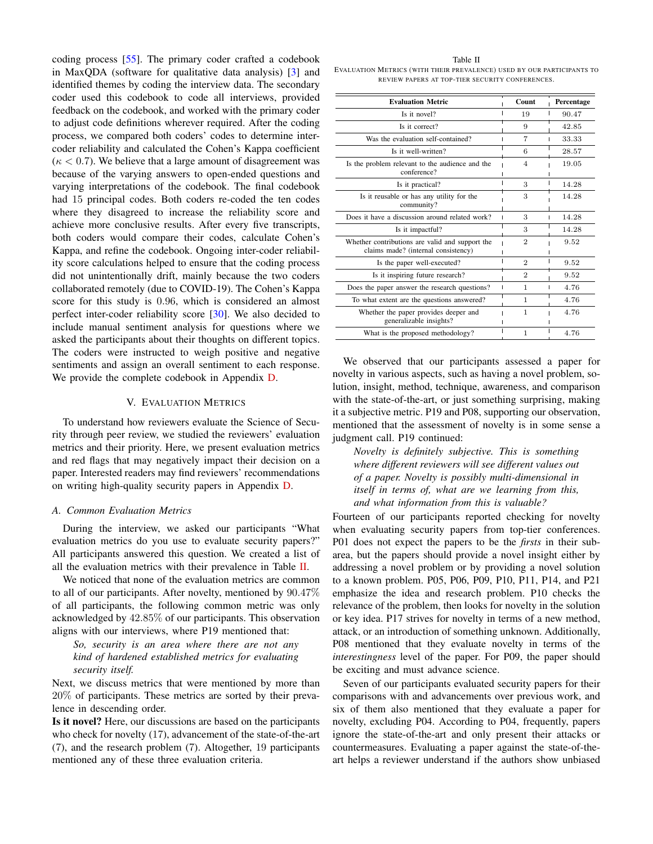coding process [\[55\]](#page-14-23). The primary coder crafted a codebook in MaxQDA (software for qualitative data analysis) [\[3\]](#page-13-30) and identified themes by coding the interview data. The secondary coder used this codebook to code all interviews, provided feedback on the codebook, and worked with the primary coder to adjust code definitions wherever required. After the coding process, we compared both coders' codes to determine intercoder reliability and calculated the Cohen's Kappa coefficient  $(\kappa < 0.7)$ . We believe that a large amount of disagreement was because of the varying answers to open-ended questions and varying interpretations of the codebook. The final codebook had 15 principal codes. Both coders re-coded the ten codes where they disagreed to increase the reliability score and achieve more conclusive results. After every five transcripts, both coders would compare their codes, calculate Cohen's Kappa, and refine the codebook. Ongoing inter-coder reliability score calculations helped to ensure that the coding process did not unintentionally drift, mainly because the two coders collaborated remotely (due to COVID-19). The Cohen's Kappa score for this study is 0.96, which is considered an almost perfect inter-coder reliability score [\[30\]](#page-13-31). We also decided to include manual sentiment analysis for questions where we asked the participants about their thoughts on different topics. The coders were instructed to weigh positive and negative sentiments and assign an overall sentiment to each response. We provide the complete codebook in Appendix [D.](#page-16-0)

#### V. EVALUATION METRICS

<span id="page-4-0"></span>To understand how reviewers evaluate the Science of Security through peer review, we studied the reviewers' evaluation metrics and their priority. Here, we present evaluation metrics and red flags that may negatively impact their decision on a paper. Interested readers may find reviewers' recommendations on writing high-quality security papers in Appendix [D.](#page-16-0)

# <span id="page-4-2"></span>*A. Common Evaluation Metrics*

During the interview, we asked our participants "What evaluation metrics do you use to evaluate security papers?" All participants answered this question. We created a list of all the evaluation metrics with their prevalence in Table [II.](#page-4-1)

We noticed that none of the evaluation metrics are common to all of our participants. After novelty, mentioned by 90.47% of all participants, the following common metric was only acknowledged by 42.85% of our participants. This observation aligns with our interviews, where P19 mentioned that:

*So, security is an area where there are not any kind of hardened established metrics for evaluating security itself.*

Next, we discuss metrics that were mentioned by more than 20% of participants. These metrics are sorted by their prevalence in descending order.

Is it novel? Here, our discussions are based on the participants who check for novelty (17), advancement of the state-of-the-art (7), and the research problem (7). Altogether, 19 participants mentioned any of these three evaluation criteria.

<span id="page-4-1"></span>Table II EVALUATION METRICS (WITH THEIR PREVALENCE) USED BY OUR PARTICIPANTS TO REVIEW PAPERS AT TOP-TIER SECURITY CONFERENCES.

| <b>Evaluation Metric</b>                                                               | Count          | Percentage |
|----------------------------------------------------------------------------------------|----------------|------------|
| Is it novel?                                                                           | 19             | 90.47      |
| Is it correct?                                                                         | 9              | 42.85      |
| Was the evaluation self-contained?                                                     | 7              | 33.33      |
| Is it well-written?                                                                    | 6              | 28.57      |
| Is the problem relevant to the audience and the<br>conference?                         | 4              | 19.05      |
| Is it practical?                                                                       | 3              | 14.28      |
| Is it reusable or has any utility for the<br>community?                                | 3              | 14.28      |
| Does it have a discussion around related work?                                         | 3              | 14.28      |
| Is it impactful?                                                                       | 3              | 14.28      |
| Whether contributions are valid and support the<br>claims made? (internal consistency) | $\overline{2}$ | 9.52       |
| Is the paper well-executed?                                                            | $\mathcal{D}$  | 9.52       |
| Is it inspiring future research?                                                       | 2              | 9.52       |
| Does the paper answer the research questions?                                          | 1              | 4.76       |
| To what extent are the questions answered?                                             | 1              | 4.76       |
| Whether the paper provides deeper and<br>generalizable insights?                       | 1              | 4.76       |
| What is the proposed methodology?                                                      | 1              | 4.76       |

We observed that our participants assessed a paper for novelty in various aspects, such as having a novel problem, solution, insight, method, technique, awareness, and comparison with the state-of-the-art, or just something surprising, making it a subjective metric. P19 and P08, supporting our observation, mentioned that the assessment of novelty is in some sense a judgment call. P19 continued:

*Novelty is definitely subjective. This is something where different reviewers will see different values out of a paper. Novelty is possibly multi-dimensional in itself in terms of, what are we learning from this, and what information from this is valuable?*

Fourteen of our participants reported checking for novelty when evaluating security papers from top-tier conferences. P01 does not expect the papers to be the *firsts* in their subarea, but the papers should provide a novel insight either by addressing a novel problem or by providing a novel solution to a known problem. P05, P06, P09, P10, P11, P14, and P21 emphasize the idea and research problem. P10 checks the relevance of the problem, then looks for novelty in the solution or key idea. P17 strives for novelty in terms of a new method, attack, or an introduction of something unknown. Additionally, P08 mentioned that they evaluate novelty in terms of the *interestingness* level of the paper. For P09, the paper should be exciting and must advance science.

Seven of our participants evaluated security papers for their comparisons with and advancements over previous work, and six of them also mentioned that they evaluate a paper for novelty, excluding P04. According to P04, frequently, papers ignore the state-of-the-art and only present their attacks or countermeasures. Evaluating a paper against the state-of-theart helps a reviewer understand if the authors show unbiased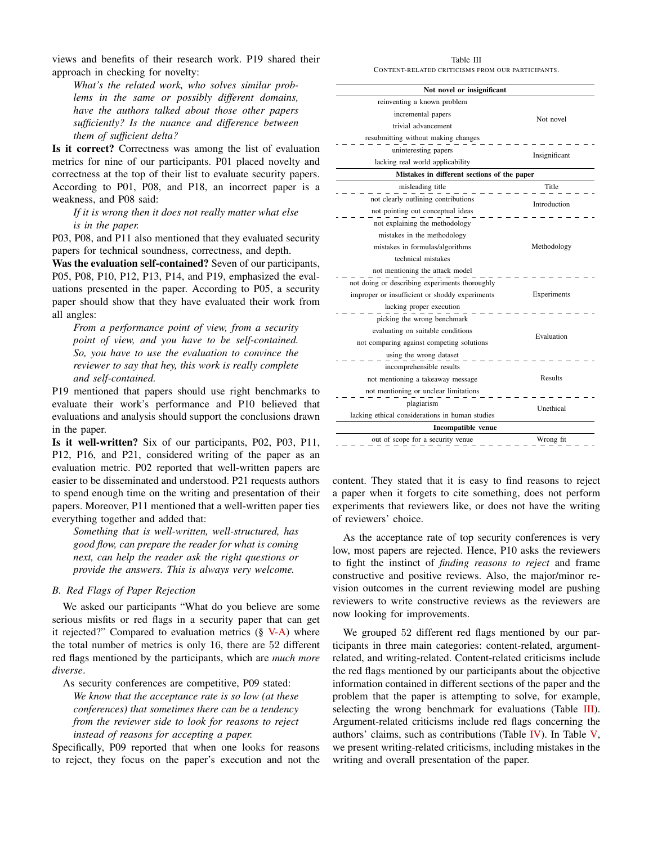views and benefits of their research work. P19 shared their approach in checking for novelty:

*What's the related work, who solves similar problems in the same or possibly different domains, have the authors talked about those other papers sufficiently? Is the nuance and difference between them of sufficient delta?*

Is it correct? Correctness was among the list of evaluation metrics for nine of our participants. P01 placed novelty and correctness at the top of their list to evaluate security papers. According to P01, P08, and P18, an incorrect paper is a weakness, and P08 said:

*If it is wrong then it does not really matter what else is in the paper.*

P03, P08, and P11 also mentioned that they evaluated security papers for technical soundness, correctness, and depth.

Was the evaluation self-contained? Seven of our participants, P05, P08, P10, P12, P13, P14, and P19, emphasized the evaluations presented in the paper. According to P05, a security paper should show that they have evaluated their work from all angles:

*From a performance point of view, from a security point of view, and you have to be self-contained. So, you have to use the evaluation to convince the reviewer to say that hey, this work is really complete and self-contained.*

P19 mentioned that papers should use right benchmarks to evaluate their work's performance and P10 believed that evaluations and analysis should support the conclusions drawn in the paper.

Is it well-written? Six of our participants, P02, P03, P11, P12, P16, and P21, considered writing of the paper as an evaluation metric. P02 reported that well-written papers are easier to be disseminated and understood. P21 requests authors to spend enough time on the writing and presentation of their papers. Moreover, P11 mentioned that a well-written paper ties everything together and added that:

*Something that is well-written, well-structured, has good flow, can prepare the reader for what is coming next, can help the reader ask the right questions or provide the answers. This is always very welcome.*

# <span id="page-5-0"></span>*B. Red Flags of Paper Rejection*

We asked our participants "What do you believe are some serious misfits or red flags in a security paper that can get it rejected?" Compared to evaluation metrics  $(\S V-A)$  $(\S V-A)$  where the total number of metrics is only 16, there are 52 different red flags mentioned by the participants, which are *much more diverse*.

As security conferences are competitive, P09 stated: *We know that the acceptance rate is so low (at these conferences) that sometimes there can be a tendency from the reviewer side to look for reasons to reject instead of reasons for accepting a paper.*

Specifically, P09 reported that when one looks for reasons to reject, they focus on the paper's execution and not the

Table III CONTENT-RELATED CRITICISMS FROM OUR PARTICIPANTS.

<span id="page-5-1"></span>

| Not novel or insignificant                      |               |  |
|-------------------------------------------------|---------------|--|
| reinventing a known problem                     |               |  |
| incremental papers                              | Not novel     |  |
| trivial advancement                             |               |  |
| resubmitting without making changes             |               |  |
| uninteresting papers                            | Insignificant |  |
| lacking real world applicability                |               |  |
| Mistakes in different sections of the paper     |               |  |
| misleading title                                | Title         |  |
| not clearly outlining contributions             |               |  |
| not pointing out conceptual ideas               | Introduction  |  |
| not explaining the methodology                  |               |  |
| mistakes in the methodology                     |               |  |
| mistakes in formulas/algorithms                 | Methodology   |  |
| technical mistakes                              |               |  |
| not mentioning the attack model                 |               |  |
| not doing or describing experiments thoroughly  |               |  |
| improper or insufficient or shoddy experiments  | Experiments   |  |
| lacking proper execution                        |               |  |
| picking the wrong benchmark                     |               |  |
| evaluating on suitable conditions               | Evaluation    |  |
| not comparing against competing solutions       |               |  |
| using the wrong dataset                         |               |  |
| incomprehensible results                        | Results       |  |
| not mentioning a takeaway message               |               |  |
| not mentioning or unclear limitations           |               |  |
| plagiarism                                      | Unethical     |  |
| lacking ethical considerations in human studies |               |  |
| Incompatible venue                              |               |  |
| out of scope for a security venue               | Wrong fit     |  |

content. They stated that it is easy to find reasons to reject a paper when it forgets to cite something, does not perform experiments that reviewers like, or does not have the writing of reviewers' choice.

As the acceptance rate of top security conferences is very low, most papers are rejected. Hence, P10 asks the reviewers to fight the instinct of *finding reasons to reject* and frame constructive and positive reviews. Also, the major/minor revision outcomes in the current reviewing model are pushing reviewers to write constructive reviews as the reviewers are now looking for improvements.

We grouped 52 different red flags mentioned by our participants in three main categories: content-related, argumentrelated, and writing-related. Content-related criticisms include the red flags mentioned by our participants about the objective information contained in different sections of the paper and the problem that the paper is attempting to solve, for example, selecting the wrong benchmark for evaluations (Table [III\)](#page-5-1). Argument-related criticisms include red flags concerning the authors' claims, such as contributions (Table [IV\)](#page-6-1). In Table  $V$ , we present writing-related criticisms, including mistakes in the writing and overall presentation of the paper.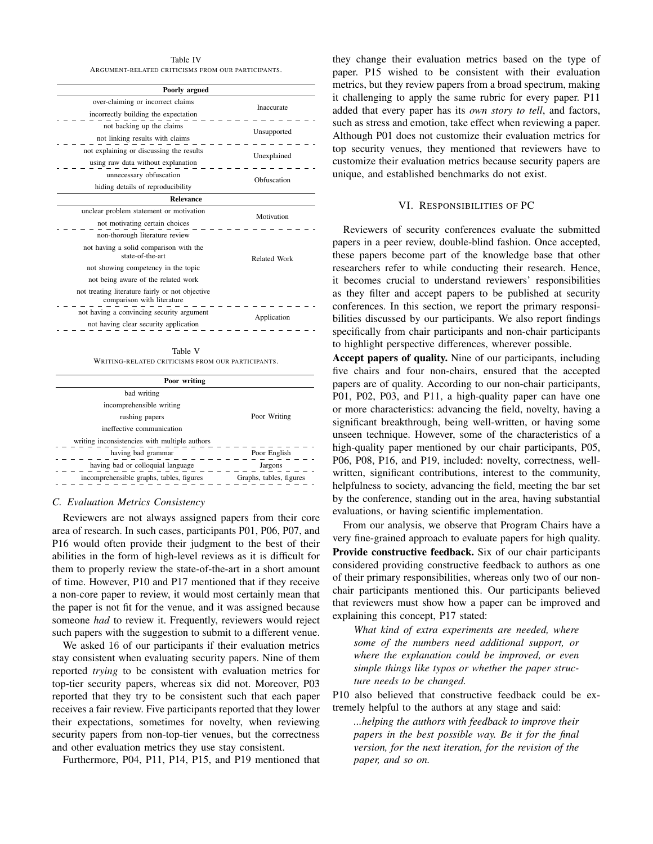Table IV ARGUMENT-RELATED CRITICISMS FROM OUR PARTICIPANTS.

<span id="page-6-1"></span>

| Poorly argued                                                                 |              |  |
|-------------------------------------------------------------------------------|--------------|--|
| over-claiming or incorrect claims                                             | Inaccurate   |  |
| incorrectly building the expectation                                          |              |  |
| not backing up the claims                                                     | Unsupported  |  |
| not linking results with claims                                               |              |  |
| not explaining or discussing the results                                      | Unexplained  |  |
| using raw data without explanation                                            |              |  |
| unnecessary obfuscation                                                       | Obfuscation  |  |
| hiding details of reproducibility                                             |              |  |
| <b>Relevance</b>                                                              |              |  |
| unclear problem statement or motivation                                       | Motivation   |  |
| not motivating certain choices                                                |              |  |
| non-thorough literature review                                                |              |  |
| not having a solid comparison with the<br>state-of-the-art                    | Related Work |  |
| not showing competency in the topic                                           |              |  |
| not being aware of the related work                                           |              |  |
| not treating literature fairly or not objective<br>comparison with literature |              |  |
|                                                                               |              |  |

Table V WRITING-RELATED CRITICISMS FROM OUR PARTICIPANTS.

<span id="page-6-2"></span>

| Poor writing                                  |                         |  |
|-----------------------------------------------|-------------------------|--|
| bad writing                                   |                         |  |
| incomprehensible writing                      |                         |  |
| rushing papers                                | Poor Writing            |  |
| ineffective communication                     |                         |  |
| writing inconsistencies with multiple authors |                         |  |
| having bad grammar                            | Poor English            |  |
| having bad or colloquial language             | Jargons                 |  |
| incomprehensible graphs, tables, figures      | Graphs, tables, figures |  |
|                                               |                         |  |

# *C. Evaluation Metrics Consistency*

Reviewers are not always assigned papers from their core area of research. In such cases, participants P01, P06, P07, and P16 would often provide their judgment to the best of their abilities in the form of high-level reviews as it is difficult for them to properly review the state-of-the-art in a short amount of time. However, P10 and P17 mentioned that if they receive a non-core paper to review, it would most certainly mean that the paper is not fit for the venue, and it was assigned because someone *had* to review it. Frequently, reviewers would reject such papers with the suggestion to submit to a different venue.

We asked 16 of our participants if their evaluation metrics stay consistent when evaluating security papers. Nine of them reported *trying* to be consistent with evaluation metrics for top-tier security papers, whereas six did not. Moreover, P03 reported that they try to be consistent such that each paper receives a fair review. Five participants reported that they lower their expectations, sometimes for novelty, when reviewing security papers from non-top-tier venues, but the correctness and other evaluation metrics they use stay consistent.

Furthermore, P04, P11, P14, P15, and P19 mentioned that

they change their evaluation metrics based on the type of paper. P15 wished to be consistent with their evaluation metrics, but they review papers from a broad spectrum, making it challenging to apply the same rubric for every paper. P11 added that every paper has its *own story to tell*, and factors, such as stress and emotion, take effect when reviewing a paper. Although P01 does not customize their evaluation metrics for top security venues, they mentioned that reviewers have to customize their evaluation metrics because security papers are unique, and established benchmarks do not exist.

#### VI. RESPONSIBILITIES OF PC

<span id="page-6-0"></span>Reviewers of security conferences evaluate the submitted papers in a peer review, double-blind fashion. Once accepted, these papers become part of the knowledge base that other researchers refer to while conducting their research. Hence, it becomes crucial to understand reviewers' responsibilities as they filter and accept papers to be published at security conferences. In this section, we report the primary responsibilities discussed by our participants. We also report findings specifically from chair participants and non-chair participants to highlight perspective differences, wherever possible.

Accept papers of quality. Nine of our participants, including five chairs and four non-chairs, ensured that the accepted papers are of quality. According to our non-chair participants, P01, P02, P03, and P11, a high-quality paper can have one or more characteristics: advancing the field, novelty, having a significant breakthrough, being well-written, or having some unseen technique. However, some of the characteristics of a high-quality paper mentioned by our chair participants, P05, P06, P08, P16, and P19, included: novelty, correctness, wellwritten, significant contributions, interest to the community, helpfulness to society, advancing the field, meeting the bar set by the conference, standing out in the area, having substantial evaluations, or having scientific implementation.

From our analysis, we observe that Program Chairs have a very fine-grained approach to evaluate papers for high quality. Provide constructive feedback. Six of our chair participants considered providing constructive feedback to authors as one of their primary responsibilities, whereas only two of our nonchair participants mentioned this. Our participants believed that reviewers must show how a paper can be improved and explaining this concept, P17 stated:

*What kind of extra experiments are needed, where some of the numbers need additional support, or where the explanation could be improved, or even simple things like typos or whether the paper structure needs to be changed.*

P10 also believed that constructive feedback could be extremely helpful to the authors at any stage and said:

*...helping the authors with feedback to improve their papers in the best possible way. Be it for the final version, for the next iteration, for the revision of the paper, and so on.*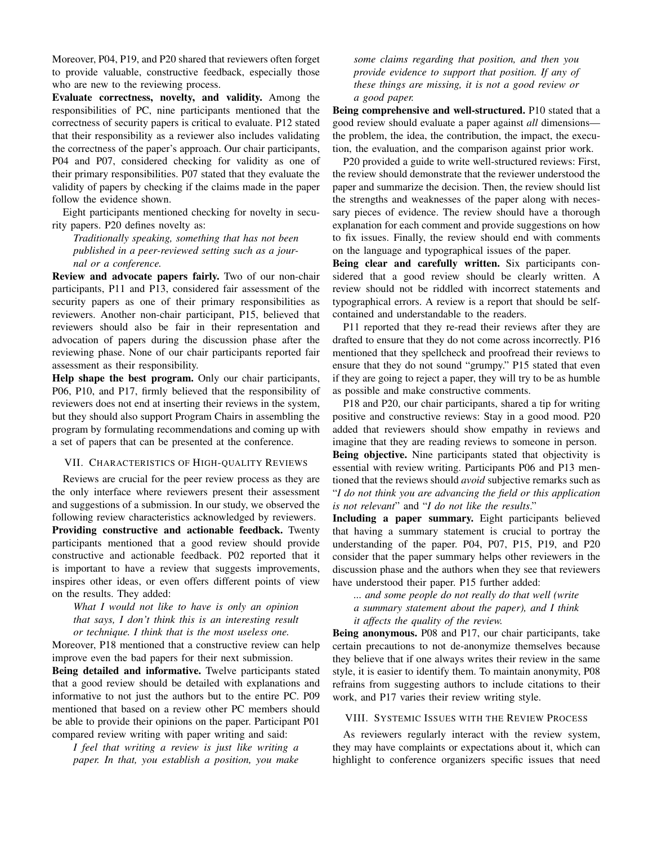Moreover, P04, P19, and P20 shared that reviewers often forget to provide valuable, constructive feedback, especially those who are new to the reviewing process.

Evaluate correctness, novelty, and validity. Among the responsibilities of PC, nine participants mentioned that the correctness of security papers is critical to evaluate. P12 stated that their responsibility as a reviewer also includes validating the correctness of the paper's approach. Our chair participants, P04 and P07, considered checking for validity as one of their primary responsibilities. P07 stated that they evaluate the validity of papers by checking if the claims made in the paper follow the evidence shown.

Eight participants mentioned checking for novelty in security papers. P20 defines novelty as:

*Traditionally speaking, something that has not been published in a peer-reviewed setting such as a journal or a conference.*

Review and advocate papers fairly. Two of our non-chair participants, P11 and P13, considered fair assessment of the security papers as one of their primary responsibilities as reviewers. Another non-chair participant, P15, believed that reviewers should also be fair in their representation and advocation of papers during the discussion phase after the reviewing phase. None of our chair participants reported fair assessment as their responsibility.

Help shape the best program. Only our chair participants, P06, P10, and P17, firmly believed that the responsibility of reviewers does not end at inserting their reviews in the system, but they should also support Program Chairs in assembling the program by formulating recommendations and coming up with a set of papers that can be presented at the conference.

# <span id="page-7-1"></span>VII. CHARACTERISTICS OF HIGH-QUALITY REVIEWS

Reviews are crucial for the peer review process as they are the only interface where reviewers present their assessment and suggestions of a submission. In our study, we observed the following review characteristics acknowledged by reviewers. Providing constructive and actionable feedback. Twenty participants mentioned that a good review should provide constructive and actionable feedback. P02 reported that it is important to have a review that suggests improvements, inspires other ideas, or even offers different points of view on the results. They added:

*What I would not like to have is only an opinion that says, I don't think this is an interesting result or technique. I think that is the most useless one.*

Moreover, P18 mentioned that a constructive review can help improve even the bad papers for their next submission.

Being detailed and informative. Twelve participants stated that a good review should be detailed with explanations and informative to not just the authors but to the entire PC. P09 mentioned that based on a review other PC members should be able to provide their opinions on the paper. Participant P01 compared review writing with paper writing and said:

*I feel that writing a review is just like writing a paper. In that, you establish a position, you make* *some claims regarding that position, and then you provide evidence to support that position. If any of these things are missing, it is not a good review or a good paper.*

Being comprehensive and well-structured. P10 stated that a good review should evaluate a paper against *all* dimensions the problem, the idea, the contribution, the impact, the execution, the evaluation, and the comparison against prior work.

P20 provided a guide to write well-structured reviews: First, the review should demonstrate that the reviewer understood the paper and summarize the decision. Then, the review should list the strengths and weaknesses of the paper along with necessary pieces of evidence. The review should have a thorough explanation for each comment and provide suggestions on how to fix issues. Finally, the review should end with comments on the language and typographical issues of the paper.

Being clear and carefully written. Six participants considered that a good review should be clearly written. A review should not be riddled with incorrect statements and typographical errors. A review is a report that should be selfcontained and understandable to the readers.

P11 reported that they re-read their reviews after they are drafted to ensure that they do not come across incorrectly. P16 mentioned that they spellcheck and proofread their reviews to ensure that they do not sound "grumpy." P15 stated that even if they are going to reject a paper, they will try to be as humble as possible and make constructive comments.

P18 and P20, our chair participants, shared a tip for writing positive and constructive reviews: Stay in a good mood. P20 added that reviewers should show empathy in reviews and imagine that they are reading reviews to someone in person.

Being objective. Nine participants stated that objectivity is essential with review writing. Participants P06 and P13 mentioned that the reviews should *avoid* subjective remarks such as "*I do not think you are advancing the field or this application is not relevant*" and "*I do not like the results*."

Including a paper summary. Eight participants believed that having a summary statement is crucial to portray the understanding of the paper. P04, P07, P15, P19, and P20 consider that the paper summary helps other reviewers in the discussion phase and the authors when they see that reviewers have understood their paper. P15 further added:

*... and some people do not really do that well (write a summary statement about the paper), and I think*

*it affects the quality of the review.*

Being anonymous. P08 and P17, our chair participants, take certain precautions to not de-anonymize themselves because they believe that if one always writes their review in the same style, it is easier to identify them. To maintain anonymity, P08 refrains from suggesting authors to include citations to their work, and P17 varies their review writing style.

#### <span id="page-7-0"></span>VIII. SYSTEMIC ISSUES WITH THE REVIEW PROCESS

As reviewers regularly interact with the review system, they may have complaints or expectations about it, which can highlight to conference organizers specific issues that need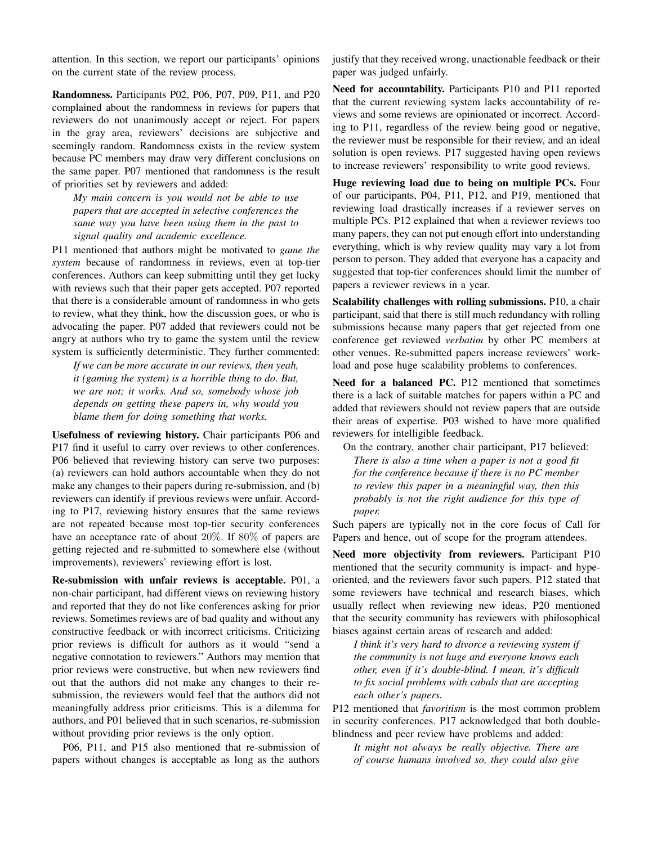attention. In this section, we report our participants' opinions on the current state of the review process.

Randomness. Participants P02, P06, P07, P09, P11, and P20 complained about the randomness in reviews for papers that reviewers do not unanimously accept or reject. For papers in the gray area, reviewers' decisions are subjective and seemingly random. Randomness exists in the review system because PC members may draw very different conclusions on the same paper. P07 mentioned that randomness is the result of priorities set by reviewers and added:

*My main concern is you would not be able to use papers that are accepted in selective conferences the same way you have been using them in the past to signal quality and academic excellence.*

P11 mentioned that authors might be motivated to *game the system* because of randomness in reviews, even at top-tier conferences. Authors can keep submitting until they get lucky with reviews such that their paper gets accepted. P07 reported that there is a considerable amount of randomness in who gets to review, what they think, how the discussion goes, or who is advocating the paper. P07 added that reviewers could not be angry at authors who try to game the system until the review system is sufficiently deterministic. They further commented:

*If we can be more accurate in our reviews, then yeah, it (gaming the system) is a horrible thing to do. But, we are not; it works. And so, somebody whose job depends on getting these papers in, why would you blame them for doing something that works.*

Usefulness of reviewing history. Chair participants P06 and P17 find it useful to carry over reviews to other conferences. P06 believed that reviewing history can serve two purposes: (a) reviewers can hold authors accountable when they do not make any changes to their papers during re-submission, and (b) reviewers can identify if previous reviews were unfair. According to P17, reviewing history ensures that the same reviews are not repeated because most top-tier security conferences have an acceptance rate of about 20%. If 80% of papers are getting rejected and re-submitted to somewhere else (without improvements), reviewers' reviewing effort is lost.

Re-submission with unfair reviews is acceptable. P01, a non-chair participant, had different views on reviewing history and reported that they do not like conferences asking for prior reviews. Sometimes reviews are of bad quality and without any constructive feedback or with incorrect criticisms. Criticizing prior reviews is difficult for authors as it would "send a negative connotation to reviewers." Authors may mention that prior reviews were constructive, but when new reviewers find out that the authors did not make any changes to their resubmission, the reviewers would feel that the authors did not meaningfully address prior criticisms. This is a dilemma for authors, and P01 believed that in such scenarios, re-submission without providing prior reviews is the only option.

P06, P11, and P15 also mentioned that re-submission of papers without changes is acceptable as long as the authors

justify that they received wrong, unactionable feedback or their paper was judged unfairly.

Need for accountability. Participants P10 and P11 reported that the current reviewing system lacks accountability of reviews and some reviews are opinionated or incorrect. According to P11, regardless of the review being good or negative, the reviewer must be responsible for their review, and an ideal solution is open reviews. P17 suggested having open reviews to increase reviewers' responsibility to write good reviews.

Huge reviewing load due to being on multiple PCs. Four of our participants, P04, P11, P12, and P19, mentioned that reviewing load drastically increases if a reviewer serves on multiple PCs. P12 explained that when a reviewer reviews too many papers, they can not put enough effort into understanding everything, which is why review quality may vary a lot from person to person. They added that everyone has a capacity and suggested that top-tier conferences should limit the number of papers a reviewer reviews in a year.

Scalability challenges with rolling submissions. P10, a chair participant, said that there is still much redundancy with rolling submissions because many papers that get rejected from one conference get reviewed *verbatim* by other PC members at other venues. Re-submitted papers increase reviewers' workload and pose huge scalability problems to conferences.

Need for a balanced PC. P12 mentioned that sometimes there is a lack of suitable matches for papers within a PC and added that reviewers should not review papers that are outside their areas of expertise. P03 wished to have more qualified reviewers for intelligible feedback.

On the contrary, another chair participant, P17 believed: *There is also a time when a paper is not a good fit for the conference because if there is no PC member to review this paper in a meaningful way, then this probably is not the right audience for this type of paper.*

Such papers are typically not in the core focus of Call for Papers and hence, out of scope for the program attendees.

Need more objectivity from reviewers. Participant P10 mentioned that the security community is impact- and hypeoriented, and the reviewers favor such papers. P12 stated that some reviewers have technical and research biases, which usually reflect when reviewing new ideas. P20 mentioned that the security community has reviewers with philosophical biases against certain areas of research and added:

*I think it's very hard to divorce a reviewing system if the community is not huge and everyone knows each other, even if it's double-blind. I mean, it's difficult to fix social problems with cabals that are accepting each other's papers.*

P12 mentioned that *favoritism* is the most common problem in security conferences. P17 acknowledged that both doubleblindness and peer review have problems and added:

*It might not always be really objective. There are of course humans involved so, they could also give*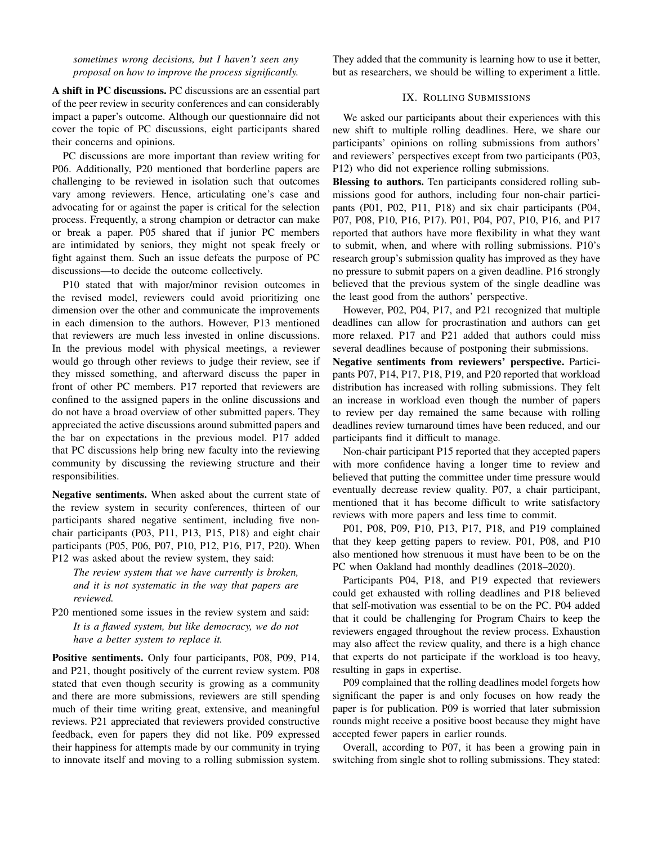*sometimes wrong decisions, but I haven't seen any proposal on how to improve the process significantly.*

A shift in PC discussions. PC discussions are an essential part of the peer review in security conferences and can considerably impact a paper's outcome. Although our questionnaire did not cover the topic of PC discussions, eight participants shared their concerns and opinions.

PC discussions are more important than review writing for P06. Additionally, P20 mentioned that borderline papers are challenging to be reviewed in isolation such that outcomes vary among reviewers. Hence, articulating one's case and advocating for or against the paper is critical for the selection process. Frequently, a strong champion or detractor can make or break a paper. P05 shared that if junior PC members are intimidated by seniors, they might not speak freely or fight against them. Such an issue defeats the purpose of PC discussions—to decide the outcome collectively.

P10 stated that with major/minor revision outcomes in the revised model, reviewers could avoid prioritizing one dimension over the other and communicate the improvements in each dimension to the authors. However, P13 mentioned that reviewers are much less invested in online discussions. In the previous model with physical meetings, a reviewer would go through other reviews to judge their review, see if they missed something, and afterward discuss the paper in front of other PC members. P17 reported that reviewers are confined to the assigned papers in the online discussions and do not have a broad overview of other submitted papers. They appreciated the active discussions around submitted papers and the bar on expectations in the previous model. P17 added that PC discussions help bring new faculty into the reviewing community by discussing the reviewing structure and their responsibilities.

Negative sentiments. When asked about the current state of the review system in security conferences, thirteen of our participants shared negative sentiment, including five nonchair participants (P03, P11, P13, P15, P18) and eight chair participants (P05, P06, P07, P10, P12, P16, P17, P20). When P12 was asked about the review system, they said:

*The review system that we have currently is broken, and it is not systematic in the way that papers are reviewed.*

P20 mentioned some issues in the review system and said: *It is a flawed system, but like democracy, we do not have a better system to replace it.*

Positive sentiments. Only four participants, P08, P09, P14, and P21, thought positively of the current review system. P08 stated that even though security is growing as a community and there are more submissions, reviewers are still spending much of their time writing great, extensive, and meaningful reviews. P21 appreciated that reviewers provided constructive feedback, even for papers they did not like. P09 expressed their happiness for attempts made by our community in trying to innovate itself and moving to a rolling submission system.

They added that the community is learning how to use it better, but as researchers, we should be willing to experiment a little.

#### IX. ROLLING SUBMISSIONS

<span id="page-9-0"></span>We asked our participants about their experiences with this new shift to multiple rolling deadlines. Here, we share our participants' opinions on rolling submissions from authors' and reviewers' perspectives except from two participants (P03, P12) who did not experience rolling submissions.

Blessing to authors. Ten participants considered rolling submissions good for authors, including four non-chair participants (P01, P02, P11, P18) and six chair participants (P04, P07, P08, P10, P16, P17). P01, P04, P07, P10, P16, and P17 reported that authors have more flexibility in what they want to submit, when, and where with rolling submissions. P10's research group's submission quality has improved as they have no pressure to submit papers on a given deadline. P16 strongly believed that the previous system of the single deadline was the least good from the authors' perspective.

However, P02, P04, P17, and P21 recognized that multiple deadlines can allow for procrastination and authors can get more relaxed. P17 and P21 added that authors could miss several deadlines because of postponing their submissions.

Negative sentiments from reviewers' perspective. Participants P07, P14, P17, P18, P19, and P20 reported that workload distribution has increased with rolling submissions. They felt an increase in workload even though the number of papers to review per day remained the same because with rolling deadlines review turnaround times have been reduced, and our participants find it difficult to manage.

Non-chair participant P15 reported that they accepted papers with more confidence having a longer time to review and believed that putting the committee under time pressure would eventually decrease review quality. P07, a chair participant, mentioned that it has become difficult to write satisfactory reviews with more papers and less time to commit.

P01, P08, P09, P10, P13, P17, P18, and P19 complained that they keep getting papers to review. P01, P08, and P10 also mentioned how strenuous it must have been to be on the PC when Oakland had monthly deadlines (2018–2020).

Participants P04, P18, and P19 expected that reviewers could get exhausted with rolling deadlines and P18 believed that self-motivation was essential to be on the PC. P04 added that it could be challenging for Program Chairs to keep the reviewers engaged throughout the review process. Exhaustion may also affect the review quality, and there is a high chance that experts do not participate if the workload is too heavy, resulting in gaps in expertise.

P09 complained that the rolling deadlines model forgets how significant the paper is and only focuses on how ready the paper is for publication. P09 is worried that later submission rounds might receive a positive boost because they might have accepted fewer papers in earlier rounds.

Overall, according to P07, it has been a growing pain in switching from single shot to rolling submissions. They stated: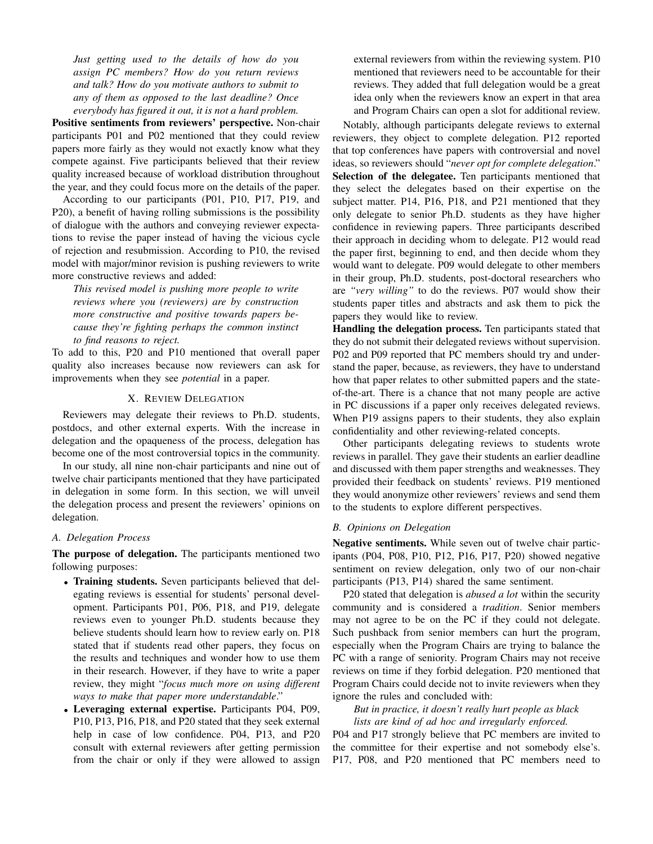*Just getting used to the details of how do you assign PC members? How do you return reviews and talk? How do you motivate authors to submit to any of them as opposed to the last deadline? Once everybody has figured it out, it is not a hard problem.*

Positive sentiments from reviewers' perspective. Non-chair participants P01 and P02 mentioned that they could review papers more fairly as they would not exactly know what they compete against. Five participants believed that their review quality increased because of workload distribution throughout the year, and they could focus more on the details of the paper.

According to our participants (P01, P10, P17, P19, and P20), a benefit of having rolling submissions is the possibility of dialogue with the authors and conveying reviewer expectations to revise the paper instead of having the vicious cycle of rejection and resubmission. According to P10, the revised model with major/minor revision is pushing reviewers to write more constructive reviews and added:

*This revised model is pushing more people to write reviews where you (reviewers) are by construction more constructive and positive towards papers because they're fighting perhaps the common instinct to find reasons to reject.*

To add to this, P20 and P10 mentioned that overall paper quality also increases because now reviewers can ask for improvements when they see *potential* in a paper.

# X. REVIEW DELEGATION

<span id="page-10-0"></span>Reviewers may delegate their reviews to Ph.D. students, postdocs, and other external experts. With the increase in delegation and the opaqueness of the process, delegation has become one of the most controversial topics in the community.

In our study, all nine non-chair participants and nine out of twelve chair participants mentioned that they have participated in delegation in some form. In this section, we will unveil the delegation process and present the reviewers' opinions on delegation.

# *A. Delegation Process*

The purpose of delegation. The participants mentioned two following purposes:

- Training students. Seven participants believed that delegating reviews is essential for students' personal development. Participants P01, P06, P18, and P19, delegate reviews even to younger Ph.D. students because they believe students should learn how to review early on. P18 stated that if students read other papers, they focus on the results and techniques and wonder how to use them in their research. However, if they have to write a paper review, they might "*focus much more on using different ways to make that paper more understandable*."
- Leveraging external expertise. Participants P04, P09, P10, P13, P16, P18, and P20 stated that they seek external help in case of low confidence. P04, P13, and P20 consult with external reviewers after getting permission from the chair or only if they were allowed to assign

external reviewers from within the reviewing system. P10 mentioned that reviewers need to be accountable for their reviews. They added that full delegation would be a great idea only when the reviewers know an expert in that area and Program Chairs can open a slot for additional review.

Notably, although participants delegate reviews to external reviewers, they object to complete delegation. P12 reported that top conferences have papers with controversial and novel ideas, so reviewers should "*never opt for complete delegation*." Selection of the delegatee. Ten participants mentioned that they select the delegates based on their expertise on the subject matter. P14, P16, P18, and P21 mentioned that they only delegate to senior Ph.D. students as they have higher confidence in reviewing papers. Three participants described their approach in deciding whom to delegate. P12 would read the paper first, beginning to end, and then decide whom they would want to delegate. P09 would delegate to other members in their group, Ph.D. students, post-doctoral researchers who are *"very willing"* to do the reviews. P07 would show their students paper titles and abstracts and ask them to pick the papers they would like to review.

Handling the delegation process. Ten participants stated that they do not submit their delegated reviews without supervision. P02 and P09 reported that PC members should try and understand the paper, because, as reviewers, they have to understand how that paper relates to other submitted papers and the stateof-the-art. There is a chance that not many people are active in PC discussions if a paper only receives delegated reviews. When P19 assigns papers to their students, they also explain confidentiality and other reviewing-related concepts.

Other participants delegating reviews to students wrote reviews in parallel. They gave their students an earlier deadline and discussed with them paper strengths and weaknesses. They provided their feedback on students' reviews. P19 mentioned they would anonymize other reviewers' reviews and send them to the students to explore different perspectives.

#### *B. Opinions on Delegation*

Negative sentiments. While seven out of twelve chair participants (P04, P08, P10, P12, P16, P17, P20) showed negative sentiment on review delegation, only two of our non-chair participants (P13, P14) shared the same sentiment.

P20 stated that delegation is *abused a lot* within the security community and is considered a *tradition*. Senior members may not agree to be on the PC if they could not delegate. Such pushback from senior members can hurt the program, especially when the Program Chairs are trying to balance the PC with a range of seniority. Program Chairs may not receive reviews on time if they forbid delegation. P20 mentioned that Program Chairs could decide not to invite reviewers when they ignore the rules and concluded with:

*But in practice, it doesn't really hurt people as black lists are kind of ad hoc and irregularly enforced.*

P04 and P17 strongly believe that PC members are invited to the committee for their expertise and not somebody else's. P17, P08, and P20 mentioned that PC members need to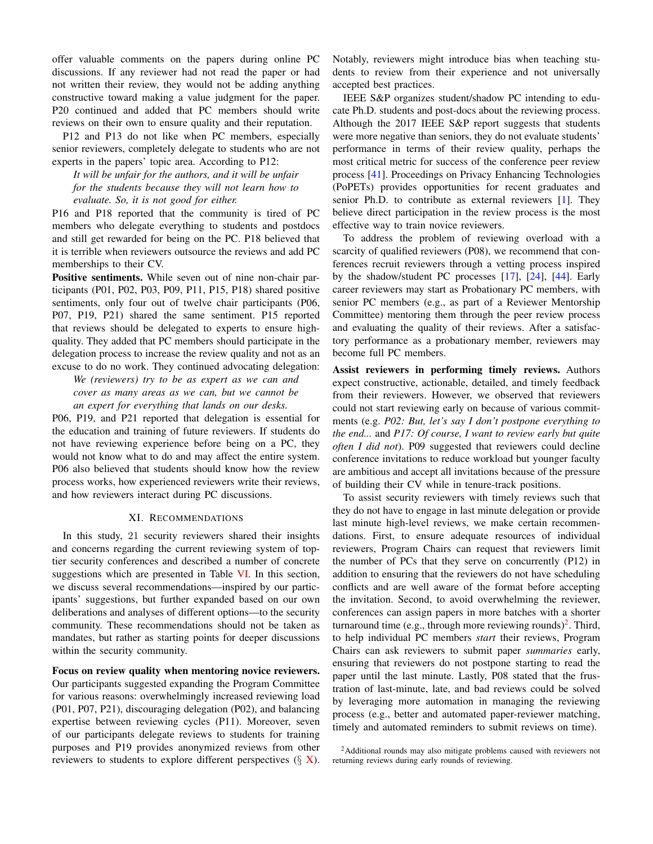offer valuable comments on the papers during online PC discussions. If any reviewer had not read the paper or had not written their review, they would not be adding anything constructive toward making a value judgment for the paper. P20 continued and added that PC members should write reviews on their own to ensure quality and their reputation.

P12 and P13 do not like when PC members, especially senior reviewers, completely delegate to students who are not experts in the papers' topic area. According to P12:

*It will be unfair for the authors, and it will be unfair for the students because they will not learn how to evaluate. So, it is not good for either.*

P16 and P18 reported that the community is tired of PC members who delegate everything to students and postdocs and still get rewarded for being on the PC. P18 believed that it is terrible when reviewers outsource the reviews and add PC memberships to their CV.

Positive sentiments. While seven out of nine non-chair participants (P01, P02, P03, P09, P11, P15, P18) shared positive sentiments, only four out of twelve chair participants (P06, P07, P19, P21) shared the same sentiment. P15 reported that reviews should be delegated to experts to ensure highquality. They added that PC members should participate in the delegation process to increase the review quality and not as an excuse to do no work. They continued advocating delegation:

*We (reviewers) try to be as expert as we can and cover as many areas as we can, but we cannot be an expert for everything that lands on our desks.*

P06, P19, and P21 reported that delegation is essential for the education and training of future reviewers. If students do not have reviewing experience before being on a PC, they would not know what to do and may affect the entire system. P06 also believed that students should know how the review process works, how experienced reviewers write their reviews, and how reviewers interact during PC discussions.

#### XI. RECOMMENDATIONS

In this study, 21 security reviewers shared their insights and concerns regarding the current reviewing system of toptier security conferences and described a number of concrete suggestions which are presented in Table [VI.](#page-17-0) In this section, we discuss several recommendations—inspired by our participants' suggestions, but further expanded based on our own deliberations and analyses of different options—to the security community. These recommendations should not be taken as mandates, but rather as starting points for deeper discussions within the security community.

Focus on review quality when mentoring novice reviewers. Our participants suggested expanding the Program Committee for various reasons: overwhelmingly increased reviewing load (P01, P07, P21), discouraging delegation (P02), and balancing expertise between reviewing cycles (P11). Moreover, seven of our participants delegate reviews to students for training purposes and P19 provides anonymized reviews from other reviewers to students to explore different perspectives  $(\S X)$  $(\S X)$ . Notably, reviewers might introduce bias when teaching students to review from their experience and not universally accepted best practices.

IEEE S&P organizes student/shadow PC intending to educate Ph.D. students and post-docs about the reviewing process. Although the 2017 IEEE S&P report suggests that students were more negative than seniors, they do not evaluate students' performance in terms of their review quality, perhaps the most critical metric for success of the conference peer review process [\[41\]](#page-14-24). Proceedings on Privacy Enhancing Technologies (PoPETs) provides opportunities for recent graduates and senior Ph.D. to contribute as external reviewers [\[1\]](#page-13-32). They believe direct participation in the review process is the most effective way to train novice reviewers.

To address the problem of reviewing overload with a scarcity of qualified reviewers (P08), we recommend that conferences recruit reviewers through a vetting process inspired by the shadow/student PC processes [\[17\]](#page-13-33), [\[24\]](#page-13-34), [\[44\]](#page-14-25). Early career reviewers may start as Probationary PC members, with senior PC members (e.g., as part of a Reviewer Mentorship Committee) mentoring them through the peer review process and evaluating the quality of their reviews. After a satisfactory performance as a probationary member, reviewers may become full PC members.

Assist reviewers in performing timely reviews. Authors expect constructive, actionable, detailed, and timely feedback from their reviewers. However, we observed that reviewers could not start reviewing early on because of various commitments (e.g. *P02: But, let's say I don't postpone everything to the end...* and *P17: Of course, I want to review early but quite often I did not*). P09 suggested that reviewers could decline conference invitations to reduce workload but younger faculty are ambitious and accept all invitations because of the pressure of building their CV while in tenure-track positions.

To assist security reviewers with timely reviews such that they do not have to engage in last minute delegation or provide last minute high-level reviews, we make certain recommendations. First, to ensure adequate resources of individual reviewers, Program Chairs can request that reviewers limit the number of PCs that they serve on concurrently (P12) in addition to ensuring that the reviewers do not have scheduling conflicts and are well aware of the format before accepting the invitation. Second, to avoid overwhelming the reviewer, conferences can assign papers in more batches with a shorter turnaround time (e.g., through more reviewing rounds)<sup>[2](#page-11-0)</sup>. Third, to help individual PC members *start* their reviews, Program Chairs can ask reviewers to submit paper *summaries* early, ensuring that reviewers do not postpone starting to read the paper until the last minute. Lastly, P08 stated that the frustration of last-minute, late, and bad reviews could be solved by leveraging more automation in managing the reviewing process (e.g., better and automated paper-reviewer matching, timely and automated reminders to submit reviews on time).

<span id="page-11-0"></span><sup>&</sup>lt;sup>2</sup>Additional rounds may also mitigate problems caused with reviewers not returning reviews during early rounds of reviewing.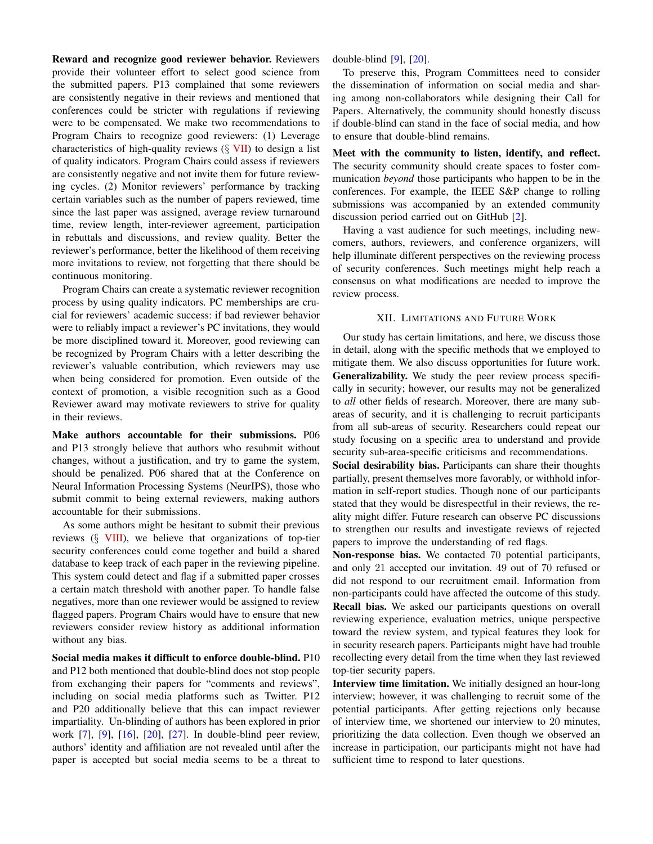Reward and recognize good reviewer behavior. Reviewers provide their volunteer effort to select good science from the submitted papers. P13 complained that some reviewers are consistently negative in their reviews and mentioned that conferences could be stricter with regulations if reviewing were to be compensated. We make two recommendations to Program Chairs to recognize good reviewers: (1) Leverage characteristics of high-quality reviews  $(\S$  [VII\)](#page-7-1) to design a list of quality indicators. Program Chairs could assess if reviewers are consistently negative and not invite them for future reviewing cycles. (2) Monitor reviewers' performance by tracking certain variables such as the number of papers reviewed, time since the last paper was assigned, average review turnaround time, review length, inter-reviewer agreement, participation in rebuttals and discussions, and review quality. Better the reviewer's performance, better the likelihood of them receiving more invitations to review, not forgetting that there should be continuous monitoring.

Program Chairs can create a systematic reviewer recognition process by using quality indicators. PC memberships are crucial for reviewers' academic success: if bad reviewer behavior were to reliably impact a reviewer's PC invitations, they would be more disciplined toward it. Moreover, good reviewing can be recognized by Program Chairs with a letter describing the reviewer's valuable contribution, which reviewers may use when being considered for promotion. Even outside of the context of promotion, a visible recognition such as a Good Reviewer award may motivate reviewers to strive for quality in their reviews.

Make authors accountable for their submissions. P06 and P13 strongly believe that authors who resubmit without changes, without a justification, and try to game the system, should be penalized. P06 shared that at the Conference on Neural Information Processing Systems (NeurIPS), those who submit commit to being external reviewers, making authors accountable for their submissions.

As some authors might be hesitant to submit their previous reviews (§ [VIII\)](#page-7-0), we believe that organizations of top-tier security conferences could come together and build a shared database to keep track of each paper in the reviewing pipeline. This system could detect and flag if a submitted paper crosses a certain match threshold with another paper. To handle false negatives, more than one reviewer would be assigned to review flagged papers. Program Chairs would have to ensure that new reviewers consider review history as additional information without any bias.

Social media makes it difficult to enforce double-blind. P10 and P12 both mentioned that double-blind does not stop people from exchanging their papers for "comments and reviews", including on social media platforms such as Twitter. P12 and P20 additionally believe that this can impact reviewer impartiality. Un-blinding of authors has been explored in prior work [\[7\]](#page-13-17), [\[9\]](#page-13-18), [\[16\]](#page-13-19), [\[20\]](#page-13-20), [\[27\]](#page-13-35). In double-blind peer review, authors' identity and affiliation are not revealed until after the paper is accepted but social media seems to be a threat to

double-blind [\[9\]](#page-13-18), [\[20\]](#page-13-20).

To preserve this, Program Committees need to consider the dissemination of information on social media and sharing among non-collaborators while designing their Call for Papers. Alternatively, the community should honestly discuss if double-blind can stand in the face of social media, and how to ensure that double-blind remains.

Meet with the community to listen, identify, and reflect. The security community should create spaces to foster communication *beyond* those participants who happen to be in the conferences. For example, the IEEE S&P change to rolling submissions was accompanied by an extended community discussion period carried out on GitHub [\[2\]](#page-13-36).

Having a vast audience for such meetings, including newcomers, authors, reviewers, and conference organizers, will help illuminate different perspectives on the reviewing process of security conferences. Such meetings might help reach a consensus on what modifications are needed to improve the review process.

# XII. LIMITATIONS AND FUTURE WORK

Our study has certain limitations, and here, we discuss those in detail, along with the specific methods that we employed to mitigate them. We also discuss opportunities for future work. Generalizability. We study the peer review process specifically in security; however, our results may not be generalized to *all* other fields of research. Moreover, there are many subareas of security, and it is challenging to recruit participants from all sub-areas of security. Researchers could repeat our study focusing on a specific area to understand and provide security sub-area-specific criticisms and recommendations.

Social desirability bias. Participants can share their thoughts partially, present themselves more favorably, or withhold information in self-report studies. Though none of our participants stated that they would be disrespectful in their reviews, the reality might differ. Future research can observe PC discussions to strengthen our results and investigate reviews of rejected papers to improve the understanding of red flags.

Non-response bias. We contacted 70 potential participants, and only 21 accepted our invitation. 49 out of 70 refused or did not respond to our recruitment email. Information from non-participants could have affected the outcome of this study. Recall bias. We asked our participants questions on overall reviewing experience, evaluation metrics, unique perspective toward the review system, and typical features they look for in security research papers. Participants might have had trouble recollecting every detail from the time when they last reviewed top-tier security papers.

Interview time limitation. We initially designed an hour-long interview; however, it was challenging to recruit some of the potential participants. After getting rejections only because of interview time, we shortened our interview to 20 minutes, prioritizing the data collection. Even though we observed an increase in participation, our participants might not have had sufficient time to respond to later questions.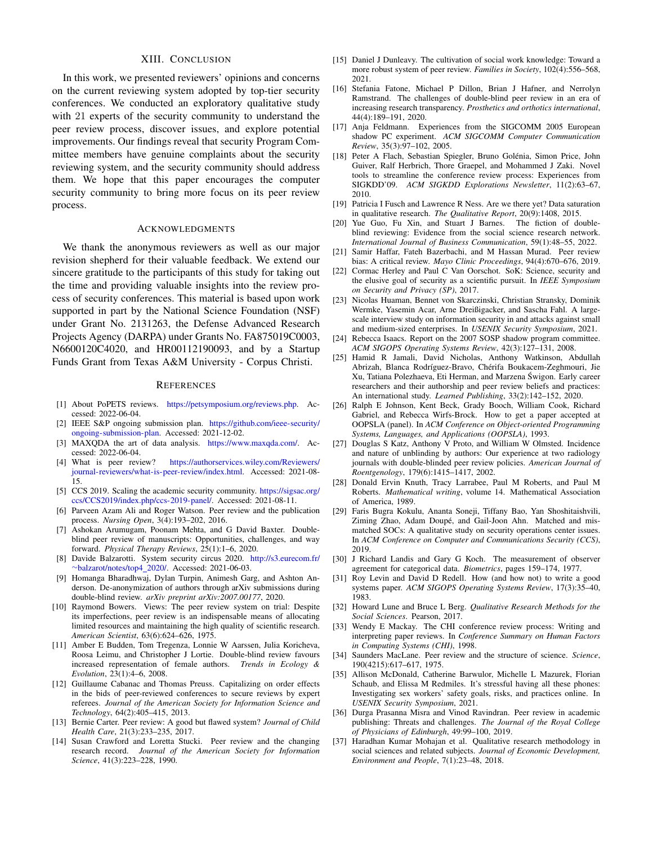# XIII. CONCLUSION

In this work, we presented reviewers' opinions and concerns on the current reviewing system adopted by top-tier security conferences. We conducted an exploratory qualitative study with 21 experts of the security community to understand the peer review process, discover issues, and explore potential improvements. Our findings reveal that security Program Committee members have genuine complaints about the security reviewing system, and the security community should address them. We hope that this paper encourages the computer security community to bring more focus on its peer review process.

# ACKNOWLEDGMENTS

We thank the anonymous reviewers as well as our major revision shepherd for their valuable feedback. We extend our sincere gratitude to the participants of this study for taking out the time and providing valuable insights into the review process of security conferences. This material is based upon work supported in part by the National Science Foundation (NSF) under Grant No. 2131263, the Defense Advanced Research Projects Agency (DARPA) under Grants No. FA875019C0003, N6600120C4020, and HR00112190093, and by a Startup Funds Grant from Texas A&M University - Corpus Christi.

# **REFERENCES**

- <span id="page-13-32"></span>[1] About PoPETS reviews. [https://petsymposium.org/reviews.php.](https://petsymposium.org/reviews.php) Accessed: 2022-06-04.
- <span id="page-13-36"></span>[2] IEEE S&P ongoing submission plan. [https://github.com/ieee-security/](https://github.com/ieee-security/ongoing-submission-plan) [ongoing-submission-plan.](https://github.com/ieee-security/ongoing-submission-plan) Accessed: 2021-12-02.
- <span id="page-13-30"></span>[3] MAXQDA the art of data analysis. [https://www.maxqda.com/.](https://www.maxqda.com/) Accessed: 2022-06-04.
- <span id="page-13-11"></span>[4] What is peer review? [https://authorservices.wiley.com/Reviewers/](https://authorservices.wiley.com/Reviewers/journal-reviewers/what-is-peer-review/index.html) [journal-reviewers/what-is-peer-review/index.html.](https://authorservices.wiley.com/Reviewers/journal-reviewers/what-is-peer-review/index.html) Accessed: 2021-08- 15.
- <span id="page-13-5"></span>[5] CCS 2019. Scaling the academic security community. [https://sigsac.org/](https://sigsac.org/ccs/CCS2019/index.php/ccs-2019-panel/) [ccs/CCS2019/index.php/ccs-2019-panel/.](https://sigsac.org/ccs/CCS2019/index.php/ccs-2019-panel/) Accessed: 2021-08-11.
- <span id="page-13-12"></span>[6] Parveen Azam Ali and Roger Watson. Peer review and the publication process. *Nursing Open*, 3(4):193–202, 2016.
- <span id="page-13-17"></span>[7] Ashokan Arumugam, Poonam Mehta, and G David Baxter. Doubleblind peer review of manuscripts: Opportunities, challenges, and way forward. *Physical Therapy Reviews*, 25(1):1–6, 2020.
- <span id="page-13-4"></span>[8] Davide Balzarotti. System security circus 2020. [http://s3.eurecom.fr/](http://s3.eurecom.fr/~balzarot/notes/top4_2020/) ∼[balzarot/notes/top4](http://s3.eurecom.fr/~balzarot/notes/top4_2020/) 2020/. Accessed: 2021-06-03.
- <span id="page-13-18"></span>[9] Homanga Bharadhwaj, Dylan Turpin, Animesh Garg, and Ashton Anderson. De-anonymization of authors through arXiv submissions during double-blind review. *arXiv preprint arXiv:2007.00177*, 2020.
- <span id="page-13-0"></span>[10] Raymond Bowers. Views: The peer review system on trial: Despite its imperfections, peer review is an indispensable means of allocating limited resources and maintaining the high quality of scientific research. *American Scientist*, 63(6):624–626, 1975.
- <span id="page-13-15"></span>[11] Amber E Budden, Tom Tregenza, Lonnie W Aarssen, Julia Koricheva, Roosa Leimu, and Christopher J Lortie. Double-blind review favours increased representation of female authors. *Trends in Ecology & Evolution*, 23(1):4–6, 2008.
- <span id="page-13-22"></span>[12] Guillaume Cabanac and Thomas Preuss. Capitalizing on order effects in the bids of peer-reviewed conferences to secure reviews by expert referees. *Journal of the American Society for Information Science and Technology*, 64(2):405–415, 2013.
- <span id="page-13-16"></span>[13] Bernie Carter. Peer review: A good but flawed system? *Journal of Child Health Care*, 21(3):233–235, 2017.
- <span id="page-13-1"></span>[14] Susan Crawford and Loretta Stucki. Peer review and the changing research record. *Journal of the American Society for Information Science*, 41(3):223–228, 1990.
- <span id="page-13-21"></span>[15] Daniel J Dunleavy. The cultivation of social work knowledge: Toward a more robust system of peer review. *Families in Society*, 102(4):556–568, 2021.
- <span id="page-13-19"></span>[16] Stefania Fatone, Michael P Dillon, Brian J Hafner, and Nerrolyn Ramstrand. The challenges of double-blind peer review in an era of increasing research transparency. *Prosthetics and orthotics international*, 44(4):189–191, 2020.
- <span id="page-13-33"></span>[17] Anja Feldmann. Experiences from the SIGCOMM 2005 European shadow PC experiment. *ACM SIGCOMM Computer Communication Review*, 35(3):97–102, 2005.
- <span id="page-13-24"></span>[18] Peter A Flach, Sebastian Spiegler, Bruno Golénia, Simon Price, John Guiver, Ralf Herbrich, Thore Graepel, and Mohammed J Zaki. Novel tools to streamline the conference review process: Experiences from SIGKDD'09. *ACM SIGKDD Explorations Newsletter*, 11(2):63–67, 2010.
- <span id="page-13-29"></span>[19] Patricia I Fusch and Lawrence R Ness. Are we there yet? Data saturation in qualitative research. *The Qualitative Report*, 20(9):1408, 2015.
- <span id="page-13-20"></span>[20] Yue Guo, Fu Xin, and Stuart J Barnes. The fiction of doubleblind reviewing: Evidence from the social science research network. *International Journal of Business Communication*, 59(1):48–55, 2022.
- <span id="page-13-23"></span>[21] Samir Haffar, Fateh Bazerbachi, and M Hassan Murad. Peer review bias: A critical review. *Mayo Clinic Proceedings*, 94(4):670–676, 2019.
- <span id="page-13-3"></span>[22] Cormac Herley and Paul C Van Oorschot. SoK: Science, security and the elusive goal of security as a scientific pursuit. In *IEEE Symposium on Security and Privacy (SP)*, 2017.
- <span id="page-13-8"></span>[23] Nicolas Huaman, Bennet von Skarczinski, Christian Stransky, Dominik Wermke, Yasemin Acar, Arne Dreißigacker, and Sascha Fahl. A largescale interview study on information security in and attacks against small and medium-sized enterprises. In *USENIX Security Symposium*, 2021.
- <span id="page-13-34"></span>[24] Rebecca Isaacs. Report on the 2007 SOSP shadow program committee. *ACM SIGOPS Operating Systems Review*, 42(3):127–131, 2008.
- <span id="page-13-14"></span>[25] Hamid R Jamali, David Nicholas, Anthony Watkinson, Abdullah Abrizah, Blanca Rodríguez-Bravo, Chérifa Boukacem-Zeghmouri, Jie Xu, Tatiana Polezhaeva, Eti Herman, and Marzena Swigon. Early career ´ researchers and their authorship and peer review beliefs and practices: An international study. *Learned Publishing*, 33(2):142–152, 2020.
- <span id="page-13-25"></span>[26] Ralph E Johnson, Kent Beck, Grady Booch, William Cook, Richard Gabriel, and Rebecca Wirfs-Brock. How to get a paper accepted at OOPSLA (panel). In *ACM Conference on Object-oriented Programming Systems, Languages, and Applications (OOPSLA)*, 1993.
- <span id="page-13-35"></span>[27] Douglas S Katz, Anthony V Proto, and William W Olmsted. Incidence and nature of unblinding by authors: Our experience at two radiology journals with double-blinded peer review policies. *American Journal of Roentgenology*, 179(6):1415–1417, 2002.
- <span id="page-13-27"></span>[28] Donald Ervin Knuth, Tracy Larrabee, Paul M Roberts, and Paul M Roberts. *Mathematical writing*, volume 14. Mathematical Association of America, 1989.
- <span id="page-13-9"></span>[29] Faris Bugra Kokulu, Ananta Soneji, Tiffany Bao, Yan Shoshitaishvili, Ziming Zhao, Adam Doupé, and Gail-Joon Ahn. Matched and mismatched SOCs: A qualitative study on security operations center issues. In *ACM Conference on Computer and Communications Security (CCS)*, 2019.
- <span id="page-13-31"></span>[30] J Richard Landis and Gary G Koch. The measurement of observer agreement for categorical data. *Biometrics*, pages 159–174, 1977.
- <span id="page-13-28"></span>[31] Roy Levin and David D Redell. How (and how not) to write a good systems paper. *ACM SIGOPS Operating Systems Review*, 17(3):35–40, 1983.
- <span id="page-13-6"></span>[32] Howard Lune and Bruce L Berg. *Qualitative Research Methods for the Social Sciences*. Pearson, 2017.
- <span id="page-13-26"></span>[33] Wendy E Mackay. The CHI conference review process: Writing and interpreting paper reviews. In *Conference Summary on Human Factors in Computing Systems (CHI)*, 1998.
- <span id="page-13-2"></span>[34] Saunders MacLane. Peer review and the structure of science. *Science*, 190(4215):617–617, 1975.
- <span id="page-13-10"></span>[35] Allison McDonald, Catherine Barwulor, Michelle L Mazurek, Florian Schaub, and Elissa M Redmiles. It's stressful having all these phones: Investigating sex workers' safety goals, risks, and practices online. In *USENIX Security Symposium*, 2021.
- <span id="page-13-13"></span>[36] Durga Prasanna Misra and Vinod Ravindran. Peer review in academic publishing: Threats and challenges. *The Journal of the Royal College of Physicians of Edinburgh*, 49:99–100, 2019.
- <span id="page-13-7"></span>[37] Haradhan Kumar Mohajan et al. Qualitative research methodology in social sciences and related subjects. *Journal of Economic Development, Environment and People*, 7(1):23–48, 2018.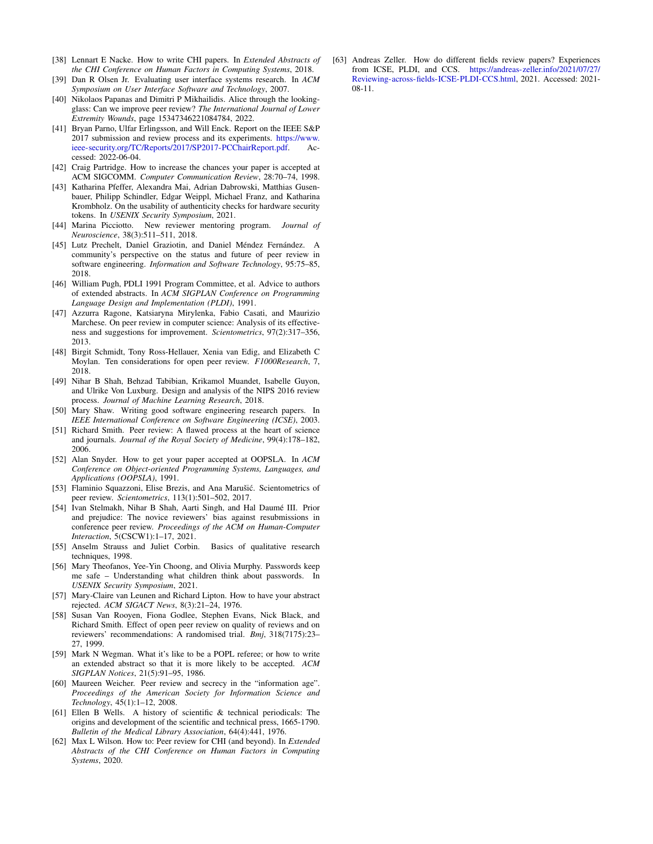- *the CHI Conference on Human Factors in Computing Systems*, 2018.
- <span id="page-14-11"></span>[39] Dan R Olsen Jr. Evaluating user interface systems research. In *ACM Symposium on User Interface Software and Technology*, 2007.
- <span id="page-14-8"></span>[40] Nikolaos Papanas and Dimitri P Mikhailidis. Alice through the lookingglass: Can we improve peer review? *The International Journal of Lower Extremity Wounds*, page 15347346221084784, 2022.
- <span id="page-14-24"></span>[41] Bryan Parno, Ulfar Erlingsson, and Will Enck. Report on the IEEE S&P 2017 submission and review process and its experiments. [https://www.](https://www.ieee-security.org/TC/Reports/2017/SP2017-PCChairReport.pdf) [ieee-security.org/TC/Reports/2017/SP2017-PCChairReport.pdf.](https://www.ieee-security.org/TC/Reports/2017/SP2017-PCChairReport.pdf) Accessed: 2022-06-04.
- <span id="page-14-13"></span>[42] Craig Partridge. How to increase the chances your paper is accepted at ACM SIGCOMM. *Computer Communication Review*, 28:70–74, 1998.
- <span id="page-14-4"></span>[43] Katharina Pfeffer, Alexandra Mai, Adrian Dabrowski, Matthias Gusenbauer, Philipp Schindler, Edgar Weippl, Michael Franz, and Katharina Krombholz. On the usability of authenticity checks for hardware security tokens. In *USENIX Security Symposium*, 2021.
- <span id="page-14-25"></span>[44] Marina Picciotto. New reviewer mentoring program. *Journal of Neuroscience*, 38(3):511–511, 2018.
- <span id="page-14-19"></span>[45] Lutz Prechelt, Daniel Graziotin, and Daniel Méndez Fernández. A community's perspective on the status and future of peer review in software engineering. *Information and Software Technology*, 95:75–85, 2018.
- <span id="page-14-14"></span>[46] William Pugh, PDLI 1991 Program Committee, et al. Advice to authors of extended abstracts. In *ACM SIGPLAN Conference on Programming Language Design and Implementation (PLDI)*, 1991.
- <span id="page-14-10"></span>[47] Azzurra Ragone, Katsiaryna Mirylenka, Fabio Casati, and Maurizio Marchese. On peer review in computer science: Analysis of its effectiveness and suggestions for improvement. *Scientometrics*, 97(2):317–356, 2013.
- <span id="page-14-6"></span>[48] Birgit Schmidt, Tony Ross-Hellauer, Xenia van Edig, and Elizabeth C Moylan. Ten considerations for open peer review. *F1000Research*, 7, 2018.
- <span id="page-14-15"></span>[49] Nihar B Shah, Behzad Tabibian, Krikamol Muandet, Isabelle Guyon, and Ulrike Von Luxburg. Design and analysis of the NIPS 2016 review process. *Journal of Machine Learning Research*, 2018.
- <span id="page-14-21"></span>[50] Mary Shaw. Writing good software engineering research papers. In *IEEE International Conference on Software Engineering (ICSE)*, 2003.
- <span id="page-14-1"></span>[51] Richard Smith. Peer review: A flawed process at the heart of science and journals. *Journal of the Royal Society of Medicine*, 99(4):178–182, 2006.
- <span id="page-14-16"></span>[52] Alan Snyder. How to get your paper accepted at OOPSLA. In *ACM Conference on Object-oriented Programming Systems, Languages, and Applications (OOPSLA)*, 1991.
- <span id="page-14-12"></span>[53] Flaminio Squazzoni, Elise Brezis, and Ana Marušić. Scientometrics of peer review. *Scientometrics*, 113(1):501–502, 2017.
- <span id="page-14-9"></span>[54] Ivan Stelmakh, Nihar B Shah, Aarti Singh, and Hal Daumé III. Prior and prejudice: The novice reviewers' bias against resubmissions in conference peer review. *Proceedings of the ACM on Human-Computer Interaction*, 5(CSCW1):1–17, 2021.
- <span id="page-14-23"></span>[55] Anselm Strauss and Juliet Corbin. Basics of qualitative research techniques, 1998.
- <span id="page-14-3"></span>[56] Mary Theofanos, Yee-Yin Choong, and Olivia Murphy. Passwords keep me safe – Understanding what children think about passwords. In *USENIX Security Symposium*, 2021.
- <span id="page-14-22"></span>[57] Mary-Claire van Leunen and Richard Lipton. How to have your abstract rejected. *ACM SIGACT News*, 8(3):21–24, 1976.
- <span id="page-14-7"></span>[58] Susan Van Rooyen, Fiona Godlee, Stephen Evans, Nick Black, and Richard Smith. Effect of open peer review on quality of reviews and on reviewers' recommendations: A randomised trial. *Bmj*, 318(7175):23– 27, 1999.
- <span id="page-14-17"></span>[59] Mark N Wegman. What it's like to be a POPL referee; or how to write an extended abstract so that it is more likely to be accepted. *ACM SIGPLAN Notices*, 21(5):91–95, 1986.
- <span id="page-14-5"></span>[60] Maureen Weicher. Peer review and secrecy in the "information age". *Proceedings of the American Society for Information Science and Technology*, 45(1):1–12, 2008.
- <span id="page-14-0"></span>[61] Ellen B Wells. A history of scientific & technical periodicals: The origins and development of the scientific and technical press, 1665-1790. *Bulletin of the Medical Library Association*, 64(4):441, 1976.
- <span id="page-14-18"></span>[62] Max L Wilson. How to: Peer review for CHI (and beyond). In *Extended Abstracts of the CHI Conference on Human Factors in Computing Systems*, 2020.

<span id="page-14-20"></span><span id="page-14-2"></span>[38] Lennart E Nacke. How to write CHI papers. In *Extended Abstracts of* [63] Andreas Zeller. How do different fields review papers? Experiences from ICSE, PLDI, and CCS. [https://andreas-zeller.info/2021/07/27/](https://andreas-zeller.info/2021/07/27/Reviewing-across-fields-ICSE-PLDI-CCS.html) [Reviewing-across-fields-ICSE-PLDI-CCS.html,](https://andreas-zeller.info/2021/07/27/Reviewing-across-fields-ICSE-PLDI-CCS.html) 2021. Accessed: 2021- 08-11.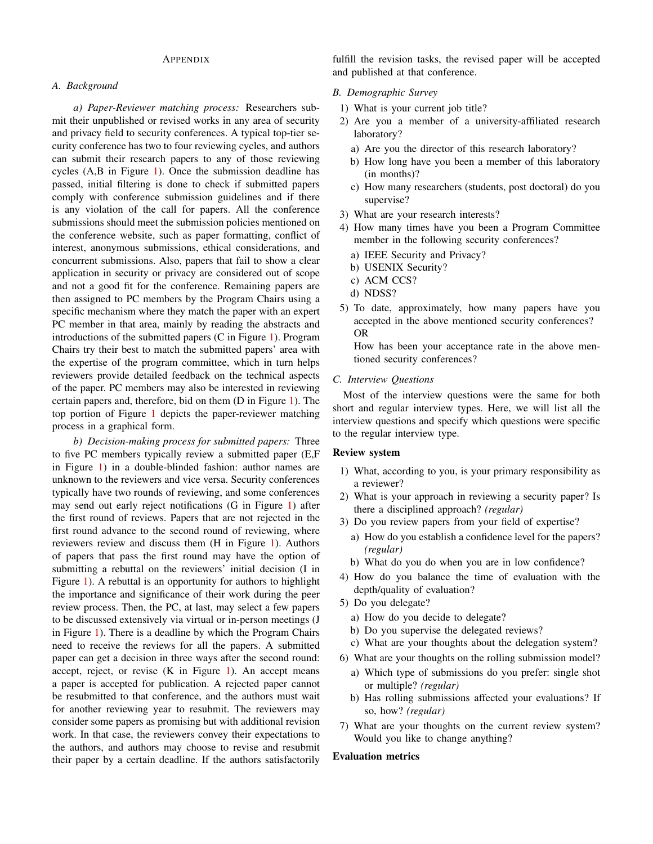# APPENDIX

# <span id="page-15-0"></span>*A. Background*

*a) Paper-Reviewer matching process:* Researchers submit their unpublished or revised works in any area of security and privacy field to security conferences. A typical top-tier security conference has two to four reviewing cycles, and authors can submit their research papers to any of those reviewing cycles (A,B in Figure [1\)](#page-2-0). Once the submission deadline has passed, initial filtering is done to check if submitted papers comply with conference submission guidelines and if there is any violation of the call for papers. All the conference submissions should meet the submission policies mentioned on the conference website, such as paper formatting, conflict of interest, anonymous submissions, ethical considerations, and concurrent submissions. Also, papers that fail to show a clear application in security or privacy are considered out of scope and not a good fit for the conference. Remaining papers are then assigned to PC members by the Program Chairs using a specific mechanism where they match the paper with an expert PC member in that area, mainly by reading the abstracts and introductions of the submitted papers (C in Figure [1\)](#page-2-0). Program Chairs try their best to match the submitted papers' area with the expertise of the program committee, which in turn helps reviewers provide detailed feedback on the technical aspects of the paper. PC members may also be interested in reviewing certain papers and, therefore, bid on them (D in Figure [1\)](#page-2-0). The top portion of Figure [1](#page-2-0) depicts the paper-reviewer matching process in a graphical form.

*b) Decision-making process for submitted papers:* Three to five PC members typically review a submitted paper (E,F in Figure [1\)](#page-2-0) in a double-blinded fashion: author names are unknown to the reviewers and vice versa. Security conferences typically have two rounds of reviewing, and some conferences may send out early reject notifications (G in Figure [1\)](#page-2-0) after the first round of reviews. Papers that are not rejected in the first round advance to the second round of reviewing, where reviewers review and discuss them (H in Figure [1\)](#page-2-0). Authors of papers that pass the first round may have the option of submitting a rebuttal on the reviewers' initial decision (I in Figure [1\)](#page-2-0). A rebuttal is an opportunity for authors to highlight the importance and significance of their work during the peer review process. Then, the PC, at last, may select a few papers to be discussed extensively via virtual or in-person meetings (J in Figure [1\)](#page-2-0). There is a deadline by which the Program Chairs need to receive the reviews for all the papers. A submitted paper can get a decision in three ways after the second round: accept, reject, or revise  $(K \text{ in Figure 1})$ . An accept means a paper is accepted for publication. A rejected paper cannot be resubmitted to that conference, and the authors must wait for another reviewing year to resubmit. The reviewers may consider some papers as promising but with additional revision work. In that case, the reviewers convey their expectations to the authors, and authors may choose to revise and resubmit their paper by a certain deadline. If the authors satisfactorily

fulfill the revision tasks, the revised paper will be accepted and published at that conference.

#### <span id="page-15-2"></span>*B. Demographic Survey*

- 1) What is your current job title?
- 2) Are you a member of a university-affiliated research laboratory?
	- a) Are you the director of this research laboratory?
	- b) How long have you been a member of this laboratory (in months)?
	- c) How many researchers (students, post doctoral) do you supervise?
- 3) What are your research interests?
- 4) How many times have you been a Program Committee member in the following security conferences?
	- a) IEEE Security and Privacy?
	- b) USENIX Security?
	- c) ACM CCS?
	- d) NDSS?
- 5) To date, approximately, how many papers have you accepted in the above mentioned security conferences? OR

How has been your acceptance rate in the above mentioned security conferences?

<span id="page-15-1"></span>*C. Interview Questions*

Most of the interview questions were the same for both short and regular interview types. Here, we will list all the interview questions and specify which questions were specific to the regular interview type.

#### Review system

- 1) What, according to you, is your primary responsibility as a reviewer?
- 2) What is your approach in reviewing a security paper? Is there a disciplined approach? *(regular)*
- 3) Do you review papers from your field of expertise?
	- a) How do you establish a confidence level for the papers? *(regular)*
	- b) What do you do when you are in low confidence?
- 4) How do you balance the time of evaluation with the depth/quality of evaluation?
- 5) Do you delegate?
	- a) How do you decide to delegate?
	- b) Do you supervise the delegated reviews?
	- c) What are your thoughts about the delegation system?
- 6) What are your thoughts on the rolling submission model?
	- a) Which type of submissions do you prefer: single shot or multiple? *(regular)*
	- b) Has rolling submissions affected your evaluations? If so, how? *(regular)*
- 7) What are your thoughts on the current review system? Would you like to change anything?

# Evaluation metrics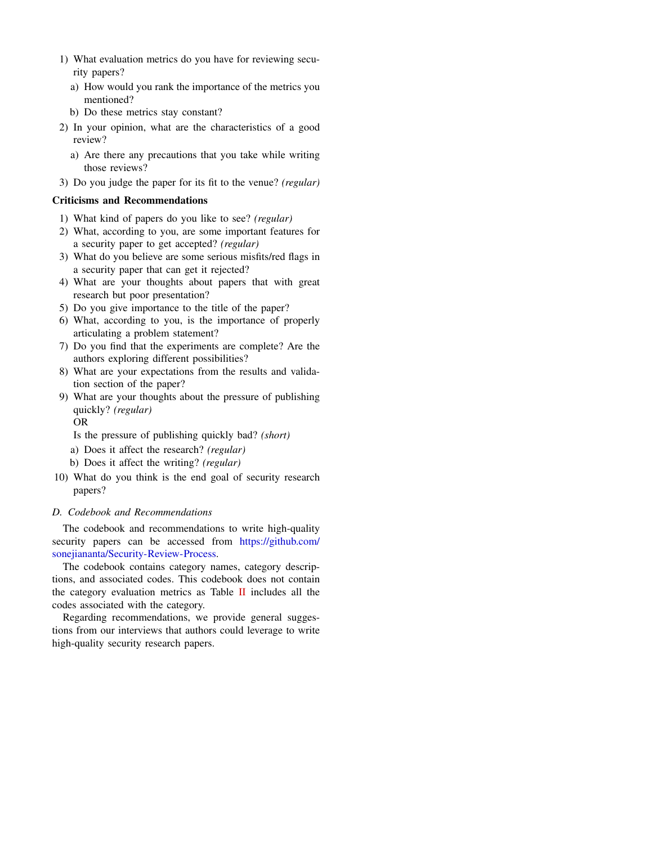- 1) What evaluation metrics do you have for reviewing security papers?
	- a) How would you rank the importance of the metrics you mentioned?
	- b) Do these metrics stay constant?
- 2) In your opinion, what are the characteristics of a good review?
	- a) Are there any precautions that you take while writing those reviews?
- 3) Do you judge the paper for its fit to the venue? *(regular)*

# Criticisms and Recommendations

- 1) What kind of papers do you like to see? *(regular)*
- 2) What, according to you, are some important features for a security paper to get accepted? *(regular)*
- 3) What do you believe are some serious misfits/red flags in a security paper that can get it rejected?
- 4) What are your thoughts about papers that with great research but poor presentation?
- 5) Do you give importance to the title of the paper?
- 6) What, according to you, is the importance of properly articulating a problem statement?
- 7) Do you find that the experiments are complete? Are the authors exploring different possibilities?
- 8) What are your expectations from the results and validation section of the paper?
- 9) What are your thoughts about the pressure of publishing quickly? *(regular)*

OR

- Is the pressure of publishing quickly bad? *(short)*
- a) Does it affect the research? *(regular)*
- b) Does it affect the writing? *(regular)*
- 10) What do you think is the end goal of security research papers?

# <span id="page-16-0"></span>*D. Codebook and Recommendations*

The codebook and recommendations to write high-quality security papers can be accessed from [https://github.com/](https://github.com/sonejiananta/Security-Review-Process) [sonejiananta/Security-Review-Process.](https://github.com/sonejiananta/Security-Review-Process)

The codebook contains category names, category descriptions, and associated codes. This codebook does not contain the category evaluation metrics as Table [II](#page-4-1) includes all the codes associated with the category.

Regarding recommendations, we provide general suggestions from our interviews that authors could leverage to write high-quality security research papers.